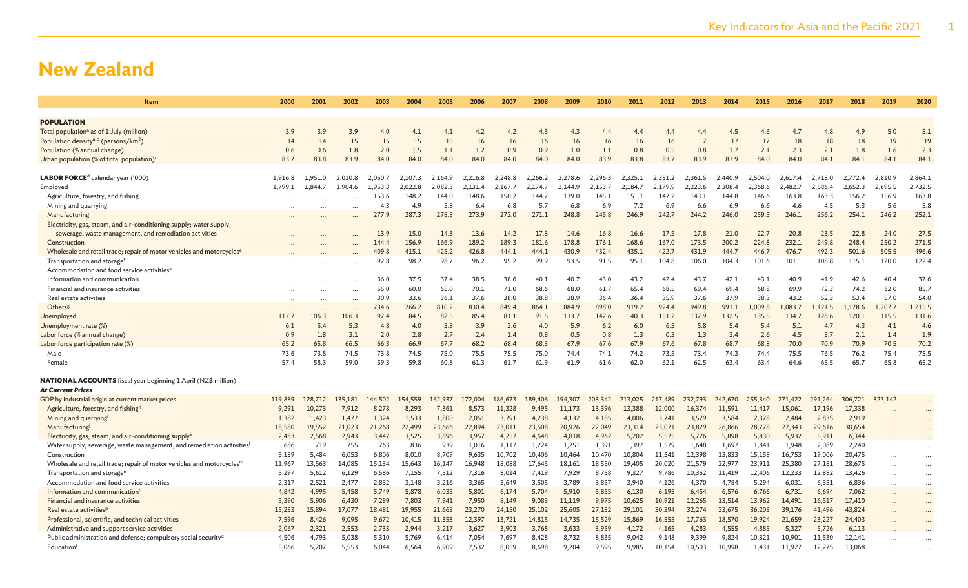| 2000    | 2001                                                                                                                                                                                       | 2002                                                                                                                                                                                   | 2003                                                                                                                                                                                      | 2004                                                                                                                                                                                                                                                              | 2005                                                                                                                                                                                                                                                                       | 2006                                                                                                                                                                                                                                                               | 2007                                                                                                                                                                                                                                                                         | 2008                                                                                                                                                                                                                                                         | 2009                                                                                                                                                                                                                                                                  | 2010                                                                                                                                                                                                                                                                           | 2011                                                                                                                                                                                                                                                         | 2012                                                                                                                                                                                                                                                          | 2013                                                                                                                                                                                                                                                                    | 2014                                                                                                                                                                                                                                                             | 2015                                                                                                                                                                                                                                                                      | 2016                                                                                                                                                                                                                                                                               | 2017                                                                                                                                                                                                                                                              | 2018                                                                                                                                                                                                                                                                       | 2019                                                                                                                                                                                                                                                                               | 2020                                                                                                                       |
|---------|--------------------------------------------------------------------------------------------------------------------------------------------------------------------------------------------|----------------------------------------------------------------------------------------------------------------------------------------------------------------------------------------|-------------------------------------------------------------------------------------------------------------------------------------------------------------------------------------------|-------------------------------------------------------------------------------------------------------------------------------------------------------------------------------------------------------------------------------------------------------------------|----------------------------------------------------------------------------------------------------------------------------------------------------------------------------------------------------------------------------------------------------------------------------|--------------------------------------------------------------------------------------------------------------------------------------------------------------------------------------------------------------------------------------------------------------------|------------------------------------------------------------------------------------------------------------------------------------------------------------------------------------------------------------------------------------------------------------------------------|--------------------------------------------------------------------------------------------------------------------------------------------------------------------------------------------------------------------------------------------------------------|-----------------------------------------------------------------------------------------------------------------------------------------------------------------------------------------------------------------------------------------------------------------------|--------------------------------------------------------------------------------------------------------------------------------------------------------------------------------------------------------------------------------------------------------------------------------|--------------------------------------------------------------------------------------------------------------------------------------------------------------------------------------------------------------------------------------------------------------|---------------------------------------------------------------------------------------------------------------------------------------------------------------------------------------------------------------------------------------------------------------|-------------------------------------------------------------------------------------------------------------------------------------------------------------------------------------------------------------------------------------------------------------------------|------------------------------------------------------------------------------------------------------------------------------------------------------------------------------------------------------------------------------------------------------------------|---------------------------------------------------------------------------------------------------------------------------------------------------------------------------------------------------------------------------------------------------------------------------|------------------------------------------------------------------------------------------------------------------------------------------------------------------------------------------------------------------------------------------------------------------------------------|-------------------------------------------------------------------------------------------------------------------------------------------------------------------------------------------------------------------------------------------------------------------|----------------------------------------------------------------------------------------------------------------------------------------------------------------------------------------------------------------------------------------------------------------------------|------------------------------------------------------------------------------------------------------------------------------------------------------------------------------------------------------------------------------------------------------------------------------------|----------------------------------------------------------------------------------------------------------------------------|
|         |                                                                                                                                                                                            |                                                                                                                                                                                        |                                                                                                                                                                                           |                                                                                                                                                                                                                                                                   |                                                                                                                                                                                                                                                                            |                                                                                                                                                                                                                                                                    |                                                                                                                                                                                                                                                                              |                                                                                                                                                                                                                                                              |                                                                                                                                                                                                                                                                       |                                                                                                                                                                                                                                                                                |                                                                                                                                                                                                                                                              |                                                                                                                                                                                                                                                               |                                                                                                                                                                                                                                                                         |                                                                                                                                                                                                                                                                  |                                                                                                                                                                                                                                                                           |                                                                                                                                                                                                                                                                                    |                                                                                                                                                                                                                                                                   |                                                                                                                                                                                                                                                                            |                                                                                                                                                                                                                                                                                    |                                                                                                                            |
|         |                                                                                                                                                                                            |                                                                                                                                                                                        |                                                                                                                                                                                           |                                                                                                                                                                                                                                                                   |                                                                                                                                                                                                                                                                            |                                                                                                                                                                                                                                                                    |                                                                                                                                                                                                                                                                              |                                                                                                                                                                                                                                                              |                                                                                                                                                                                                                                                                       |                                                                                                                                                                                                                                                                                |                                                                                                                                                                                                                                                              |                                                                                                                                                                                                                                                               |                                                                                                                                                                                                                                                                         |                                                                                                                                                                                                                                                                  |                                                                                                                                                                                                                                                                           |                                                                                                                                                                                                                                                                                    |                                                                                                                                                                                                                                                                   |                                                                                                                                                                                                                                                                            |                                                                                                                                                                                                                                                                                    |                                                                                                                            |
|         |                                                                                                                                                                                            |                                                                                                                                                                                        |                                                                                                                                                                                           |                                                                                                                                                                                                                                                                   |                                                                                                                                                                                                                                                                            |                                                                                                                                                                                                                                                                    |                                                                                                                                                                                                                                                                              |                                                                                                                                                                                                                                                              |                                                                                                                                                                                                                                                                       |                                                                                                                                                                                                                                                                                |                                                                                                                                                                                                                                                              |                                                                                                                                                                                                                                                               |                                                                                                                                                                                                                                                                         |                                                                                                                                                                                                                                                                  |                                                                                                                                                                                                                                                                           |                                                                                                                                                                                                                                                                                    |                                                                                                                                                                                                                                                                   |                                                                                                                                                                                                                                                                            |                                                                                                                                                                                                                                                                                    | 5.1                                                                                                                        |
|         |                                                                                                                                                                                            |                                                                                                                                                                                        |                                                                                                                                                                                           |                                                                                                                                                                                                                                                                   |                                                                                                                                                                                                                                                                            |                                                                                                                                                                                                                                                                    |                                                                                                                                                                                                                                                                              |                                                                                                                                                                                                                                                              |                                                                                                                                                                                                                                                                       |                                                                                                                                                                                                                                                                                |                                                                                                                                                                                                                                                              |                                                                                                                                                                                                                                                               |                                                                                                                                                                                                                                                                         |                                                                                                                                                                                                                                                                  |                                                                                                                                                                                                                                                                           |                                                                                                                                                                                                                                                                                    |                                                                                                                                                                                                                                                                   |                                                                                                                                                                                                                                                                            |                                                                                                                                                                                                                                                                                    | 19                                                                                                                         |
|         |                                                                                                                                                                                            |                                                                                                                                                                                        |                                                                                                                                                                                           |                                                                                                                                                                                                                                                                   |                                                                                                                                                                                                                                                                            |                                                                                                                                                                                                                                                                    |                                                                                                                                                                                                                                                                              |                                                                                                                                                                                                                                                              |                                                                                                                                                                                                                                                                       |                                                                                                                                                                                                                                                                                |                                                                                                                                                                                                                                                              |                                                                                                                                                                                                                                                               |                                                                                                                                                                                                                                                                         |                                                                                                                                                                                                                                                                  |                                                                                                                                                                                                                                                                           |                                                                                                                                                                                                                                                                                    |                                                                                                                                                                                                                                                                   |                                                                                                                                                                                                                                                                            |                                                                                                                                                                                                                                                                                    | 2.3                                                                                                                        |
|         |                                                                                                                                                                                            |                                                                                                                                                                                        |                                                                                                                                                                                           |                                                                                                                                                                                                                                                                   |                                                                                                                                                                                                                                                                            |                                                                                                                                                                                                                                                                    |                                                                                                                                                                                                                                                                              |                                                                                                                                                                                                                                                              |                                                                                                                                                                                                                                                                       |                                                                                                                                                                                                                                                                                |                                                                                                                                                                                                                                                              |                                                                                                                                                                                                                                                               |                                                                                                                                                                                                                                                                         |                                                                                                                                                                                                                                                                  |                                                                                                                                                                                                                                                                           |                                                                                                                                                                                                                                                                                    |                                                                                                                                                                                                                                                                   |                                                                                                                                                                                                                                                                            |                                                                                                                                                                                                                                                                                    | 84.1                                                                                                                       |
|         |                                                                                                                                                                                            |                                                                                                                                                                                        |                                                                                                                                                                                           |                                                                                                                                                                                                                                                                   |                                                                                                                                                                                                                                                                            |                                                                                                                                                                                                                                                                    |                                                                                                                                                                                                                                                                              |                                                                                                                                                                                                                                                              |                                                                                                                                                                                                                                                                       |                                                                                                                                                                                                                                                                                |                                                                                                                                                                                                                                                              |                                                                                                                                                                                                                                                               |                                                                                                                                                                                                                                                                         |                                                                                                                                                                                                                                                                  |                                                                                                                                                                                                                                                                           |                                                                                                                                                                                                                                                                                    |                                                                                                                                                                                                                                                                   |                                                                                                                                                                                                                                                                            |                                                                                                                                                                                                                                                                                    |                                                                                                                            |
|         |                                                                                                                                                                                            |                                                                                                                                                                                        |                                                                                                                                                                                           |                                                                                                                                                                                                                                                                   |                                                                                                                                                                                                                                                                            |                                                                                                                                                                                                                                                                    |                                                                                                                                                                                                                                                                              |                                                                                                                                                                                                                                                              |                                                                                                                                                                                                                                                                       |                                                                                                                                                                                                                                                                                |                                                                                                                                                                                                                                                              |                                                                                                                                                                                                                                                               |                                                                                                                                                                                                                                                                         |                                                                                                                                                                                                                                                                  |                                                                                                                                                                                                                                                                           |                                                                                                                                                                                                                                                                                    |                                                                                                                                                                                                                                                                   |                                                                                                                                                                                                                                                                            |                                                                                                                                                                                                                                                                                    | 2,864.1<br>2,732.5                                                                                                         |
|         |                                                                                                                                                                                            |                                                                                                                                                                                        |                                                                                                                                                                                           |                                                                                                                                                                                                                                                                   |                                                                                                                                                                                                                                                                            |                                                                                                                                                                                                                                                                    |                                                                                                                                                                                                                                                                              |                                                                                                                                                                                                                                                              |                                                                                                                                                                                                                                                                       |                                                                                                                                                                                                                                                                                |                                                                                                                                                                                                                                                              |                                                                                                                                                                                                                                                               |                                                                                                                                                                                                                                                                         |                                                                                                                                                                                                                                                                  |                                                                                                                                                                                                                                                                           |                                                                                                                                                                                                                                                                                    |                                                                                                                                                                                                                                                                   |                                                                                                                                                                                                                                                                            |                                                                                                                                                                                                                                                                                    | 163.8                                                                                                                      |
|         |                                                                                                                                                                                            |                                                                                                                                                                                        |                                                                                                                                                                                           |                                                                                                                                                                                                                                                                   |                                                                                                                                                                                                                                                                            |                                                                                                                                                                                                                                                                    |                                                                                                                                                                                                                                                                              |                                                                                                                                                                                                                                                              |                                                                                                                                                                                                                                                                       |                                                                                                                                                                                                                                                                                |                                                                                                                                                                                                                                                              |                                                                                                                                                                                                                                                               |                                                                                                                                                                                                                                                                         |                                                                                                                                                                                                                                                                  |                                                                                                                                                                                                                                                                           |                                                                                                                                                                                                                                                                                    |                                                                                                                                                                                                                                                                   |                                                                                                                                                                                                                                                                            |                                                                                                                                                                                                                                                                                    | 5.8                                                                                                                        |
|         |                                                                                                                                                                                            |                                                                                                                                                                                        |                                                                                                                                                                                           |                                                                                                                                                                                                                                                                   |                                                                                                                                                                                                                                                                            |                                                                                                                                                                                                                                                                    |                                                                                                                                                                                                                                                                              |                                                                                                                                                                                                                                                              |                                                                                                                                                                                                                                                                       |                                                                                                                                                                                                                                                                                |                                                                                                                                                                                                                                                              |                                                                                                                                                                                                                                                               |                                                                                                                                                                                                                                                                         |                                                                                                                                                                                                                                                                  |                                                                                                                                                                                                                                                                           |                                                                                                                                                                                                                                                                                    |                                                                                                                                                                                                                                                                   |                                                                                                                                                                                                                                                                            |                                                                                                                                                                                                                                                                                    | 252.1                                                                                                                      |
|         |                                                                                                                                                                                            |                                                                                                                                                                                        |                                                                                                                                                                                           |                                                                                                                                                                                                                                                                   |                                                                                                                                                                                                                                                                            |                                                                                                                                                                                                                                                                    |                                                                                                                                                                                                                                                                              |                                                                                                                                                                                                                                                              |                                                                                                                                                                                                                                                                       |                                                                                                                                                                                                                                                                                |                                                                                                                                                                                                                                                              |                                                                                                                                                                                                                                                               |                                                                                                                                                                                                                                                                         |                                                                                                                                                                                                                                                                  |                                                                                                                                                                                                                                                                           |                                                                                                                                                                                                                                                                                    |                                                                                                                                                                                                                                                                   |                                                                                                                                                                                                                                                                            |                                                                                                                                                                                                                                                                                    |                                                                                                                            |
|         |                                                                                                                                                                                            |                                                                                                                                                                                        |                                                                                                                                                                                           |                                                                                                                                                                                                                                                                   |                                                                                                                                                                                                                                                                            |                                                                                                                                                                                                                                                                    |                                                                                                                                                                                                                                                                              |                                                                                                                                                                                                                                                              |                                                                                                                                                                                                                                                                       |                                                                                                                                                                                                                                                                                |                                                                                                                                                                                                                                                              |                                                                                                                                                                                                                                                               |                                                                                                                                                                                                                                                                         |                                                                                                                                                                                                                                                                  |                                                                                                                                                                                                                                                                           |                                                                                                                                                                                                                                                                                    |                                                                                                                                                                                                                                                                   |                                                                                                                                                                                                                                                                            |                                                                                                                                                                                                                                                                                    | 27.5                                                                                                                       |
|         |                                                                                                                                                                                            |                                                                                                                                                                                        |                                                                                                                                                                                           |                                                                                                                                                                                                                                                                   |                                                                                                                                                                                                                                                                            |                                                                                                                                                                                                                                                                    |                                                                                                                                                                                                                                                                              |                                                                                                                                                                                                                                                              |                                                                                                                                                                                                                                                                       |                                                                                                                                                                                                                                                                                |                                                                                                                                                                                                                                                              |                                                                                                                                                                                                                                                               |                                                                                                                                                                                                                                                                         |                                                                                                                                                                                                                                                                  |                                                                                                                                                                                                                                                                           |                                                                                                                                                                                                                                                                                    |                                                                                                                                                                                                                                                                   |                                                                                                                                                                                                                                                                            |                                                                                                                                                                                                                                                                                    | 271.5                                                                                                                      |
|         |                                                                                                                                                                                            |                                                                                                                                                                                        |                                                                                                                                                                                           |                                                                                                                                                                                                                                                                   |                                                                                                                                                                                                                                                                            |                                                                                                                                                                                                                                                                    |                                                                                                                                                                                                                                                                              |                                                                                                                                                                                                                                                              |                                                                                                                                                                                                                                                                       |                                                                                                                                                                                                                                                                                |                                                                                                                                                                                                                                                              |                                                                                                                                                                                                                                                               |                                                                                                                                                                                                                                                                         |                                                                                                                                                                                                                                                                  |                                                                                                                                                                                                                                                                           |                                                                                                                                                                                                                                                                                    |                                                                                                                                                                                                                                                                   |                                                                                                                                                                                                                                                                            |                                                                                                                                                                                                                                                                                    | 496.6                                                                                                                      |
|         |                                                                                                                                                                                            |                                                                                                                                                                                        |                                                                                                                                                                                           |                                                                                                                                                                                                                                                                   |                                                                                                                                                                                                                                                                            |                                                                                                                                                                                                                                                                    |                                                                                                                                                                                                                                                                              |                                                                                                                                                                                                                                                              |                                                                                                                                                                                                                                                                       |                                                                                                                                                                                                                                                                                |                                                                                                                                                                                                                                                              |                                                                                                                                                                                                                                                               |                                                                                                                                                                                                                                                                         |                                                                                                                                                                                                                                                                  |                                                                                                                                                                                                                                                                           |                                                                                                                                                                                                                                                                                    |                                                                                                                                                                                                                                                                   |                                                                                                                                                                                                                                                                            |                                                                                                                                                                                                                                                                                    | 122.4                                                                                                                      |
|         |                                                                                                                                                                                            |                                                                                                                                                                                        |                                                                                                                                                                                           |                                                                                                                                                                                                                                                                   |                                                                                                                                                                                                                                                                            |                                                                                                                                                                                                                                                                    |                                                                                                                                                                                                                                                                              |                                                                                                                                                                                                                                                              |                                                                                                                                                                                                                                                                       |                                                                                                                                                                                                                                                                                |                                                                                                                                                                                                                                                              |                                                                                                                                                                                                                                                               |                                                                                                                                                                                                                                                                         |                                                                                                                                                                                                                                                                  |                                                                                                                                                                                                                                                                           |                                                                                                                                                                                                                                                                                    |                                                                                                                                                                                                                                                                   |                                                                                                                                                                                                                                                                            |                                                                                                                                                                                                                                                                                    |                                                                                                                            |
|         |                                                                                                                                                                                            |                                                                                                                                                                                        |                                                                                                                                                                                           |                                                                                                                                                                                                                                                                   |                                                                                                                                                                                                                                                                            |                                                                                                                                                                                                                                                                    |                                                                                                                                                                                                                                                                              |                                                                                                                                                                                                                                                              |                                                                                                                                                                                                                                                                       |                                                                                                                                                                                                                                                                                |                                                                                                                                                                                                                                                              |                                                                                                                                                                                                                                                               |                                                                                                                                                                                                                                                                         |                                                                                                                                                                                                                                                                  |                                                                                                                                                                                                                                                                           |                                                                                                                                                                                                                                                                                    |                                                                                                                                                                                                                                                                   |                                                                                                                                                                                                                                                                            |                                                                                                                                                                                                                                                                                    | 37.6                                                                                                                       |
|         |                                                                                                                                                                                            |                                                                                                                                                                                        |                                                                                                                                                                                           |                                                                                                                                                                                                                                                                   |                                                                                                                                                                                                                                                                            |                                                                                                                                                                                                                                                                    |                                                                                                                                                                                                                                                                              |                                                                                                                                                                                                                                                              |                                                                                                                                                                                                                                                                       |                                                                                                                                                                                                                                                                                |                                                                                                                                                                                                                                                              |                                                                                                                                                                                                                                                               |                                                                                                                                                                                                                                                                         |                                                                                                                                                                                                                                                                  |                                                                                                                                                                                                                                                                           |                                                                                                                                                                                                                                                                                    |                                                                                                                                                                                                                                                                   |                                                                                                                                                                                                                                                                            |                                                                                                                                                                                                                                                                                    | 85.7                                                                                                                       |
|         |                                                                                                                                                                                            |                                                                                                                                                                                        | 30.9                                                                                                                                                                                      |                                                                                                                                                                                                                                                                   | 36.1                                                                                                                                                                                                                                                                       |                                                                                                                                                                                                                                                                    | 38.0                                                                                                                                                                                                                                                                         | 38.8                                                                                                                                                                                                                                                         |                                                                                                                                                                                                                                                                       | 36.4                                                                                                                                                                                                                                                                           | 36.4                                                                                                                                                                                                                                                         |                                                                                                                                                                                                                                                               | 37.6                                                                                                                                                                                                                                                                    | 37.9                                                                                                                                                                                                                                                             |                                                                                                                                                                                                                                                                           | 43.2                                                                                                                                                                                                                                                                               | 52.3                                                                                                                                                                                                                                                              |                                                                                                                                                                                                                                                                            | 57.0                                                                                                                                                                                                                                                                               | 54.0                                                                                                                       |
|         | $\ddots$                                                                                                                                                                                   | $\ddotsc$                                                                                                                                                                              | 734.6                                                                                                                                                                                     | 766.2                                                                                                                                                                                                                                                             | 810.2                                                                                                                                                                                                                                                                      | 830.4                                                                                                                                                                                                                                                              | 849.4                                                                                                                                                                                                                                                                        | 864.1                                                                                                                                                                                                                                                        | 884.9                                                                                                                                                                                                                                                                 | 898.0                                                                                                                                                                                                                                                                          | 919.2                                                                                                                                                                                                                                                        | 924.4                                                                                                                                                                                                                                                         | 949.8                                                                                                                                                                                                                                                                   | 991.1                                                                                                                                                                                                                                                            | 1,009.8                                                                                                                                                                                                                                                                   | 1,083.7                                                                                                                                                                                                                                                                            | 1.121.5                                                                                                                                                                                                                                                           | 1,178.6                                                                                                                                                                                                                                                                    | 1,207.7                                                                                                                                                                                                                                                                            | 1,215.5                                                                                                                    |
| 117.7   | 106.3                                                                                                                                                                                      | 106.3                                                                                                                                                                                  | 97.4                                                                                                                                                                                      | 84.5                                                                                                                                                                                                                                                              | 82.5                                                                                                                                                                                                                                                                       | 85.4                                                                                                                                                                                                                                                               | 81.1                                                                                                                                                                                                                                                                         | 91.5                                                                                                                                                                                                                                                         | 133.7                                                                                                                                                                                                                                                                 | 142.6                                                                                                                                                                                                                                                                          | 140.3                                                                                                                                                                                                                                                        | 151.2                                                                                                                                                                                                                                                         | 137.9                                                                                                                                                                                                                                                                   | 132.5                                                                                                                                                                                                                                                            | 135.5                                                                                                                                                                                                                                                                     | 134.7                                                                                                                                                                                                                                                                              | 128.6                                                                                                                                                                                                                                                             | 120.1                                                                                                                                                                                                                                                                      | 115.5                                                                                                                                                                                                                                                                              | 131.6                                                                                                                      |
| 6.1     | 5.4                                                                                                                                                                                        | 5.3                                                                                                                                                                                    | 4.8                                                                                                                                                                                       | 4.0                                                                                                                                                                                                                                                               | 3.8                                                                                                                                                                                                                                                                        | 3.9                                                                                                                                                                                                                                                                | 3.6                                                                                                                                                                                                                                                                          | 4.0                                                                                                                                                                                                                                                          | 5.9                                                                                                                                                                                                                                                                   | 6.2                                                                                                                                                                                                                                                                            | 6.0                                                                                                                                                                                                                                                          | 6.5                                                                                                                                                                                                                                                           | 5.8                                                                                                                                                                                                                                                                     | 5.4                                                                                                                                                                                                                                                              | 5.4                                                                                                                                                                                                                                                                       | 5.1                                                                                                                                                                                                                                                                                | 4.7                                                                                                                                                                                                                                                               | 4.3                                                                                                                                                                                                                                                                        | 4.1                                                                                                                                                                                                                                                                                | 4.6                                                                                                                        |
| 0.9     | 1.8                                                                                                                                                                                        | 3.1                                                                                                                                                                                    | 2.0                                                                                                                                                                                       | 2.8                                                                                                                                                                                                                                                               | 2.7                                                                                                                                                                                                                                                                        | 2.4                                                                                                                                                                                                                                                                | 1.4                                                                                                                                                                                                                                                                          | 0.8                                                                                                                                                                                                                                                          | 0.5                                                                                                                                                                                                                                                                   | 0.8                                                                                                                                                                                                                                                                            | 1.3                                                                                                                                                                                                                                                          | 0.3                                                                                                                                                                                                                                                           | 1.3                                                                                                                                                                                                                                                                     | 3.4                                                                                                                                                                                                                                                              | 2.6                                                                                                                                                                                                                                                                       | 4.5                                                                                                                                                                                                                                                                                | 3.7                                                                                                                                                                                                                                                               | 2.1                                                                                                                                                                                                                                                                        | 1.4                                                                                                                                                                                                                                                                                | 1.9                                                                                                                        |
| 65.2    | 65.8                                                                                                                                                                                       | 66.5                                                                                                                                                                                   | 66.3                                                                                                                                                                                      | 66.9                                                                                                                                                                                                                                                              | 67.7                                                                                                                                                                                                                                                                       | 68.2                                                                                                                                                                                                                                                               | 68.4                                                                                                                                                                                                                                                                         | 68.3                                                                                                                                                                                                                                                         | 67.9                                                                                                                                                                                                                                                                  | 67.6                                                                                                                                                                                                                                                                           | 67.9                                                                                                                                                                                                                                                         | 67.6                                                                                                                                                                                                                                                          | 67.8                                                                                                                                                                                                                                                                    | 68.7                                                                                                                                                                                                                                                             | 68.8                                                                                                                                                                                                                                                                      | 70.0                                                                                                                                                                                                                                                                               | 70.9                                                                                                                                                                                                                                                              | 70.9                                                                                                                                                                                                                                                                       | 70.5                                                                                                                                                                                                                                                                               | 70.2                                                                                                                       |
| 73.6    | 73.8                                                                                                                                                                                       | 74.5                                                                                                                                                                                   | 73.8                                                                                                                                                                                      | 74.5                                                                                                                                                                                                                                                              | 75.0                                                                                                                                                                                                                                                                       | 75.5                                                                                                                                                                                                                                                               | 75.5                                                                                                                                                                                                                                                                         | 75.0                                                                                                                                                                                                                                                         | 74.4                                                                                                                                                                                                                                                                  | 74.1                                                                                                                                                                                                                                                                           | 74.2                                                                                                                                                                                                                                                         | 73.5                                                                                                                                                                                                                                                          | 73.4                                                                                                                                                                                                                                                                    | 74.3                                                                                                                                                                                                                                                             | 74.4                                                                                                                                                                                                                                                                      | 75.5                                                                                                                                                                                                                                                                               | 76.5                                                                                                                                                                                                                                                              | 76.2                                                                                                                                                                                                                                                                       | 75.4                                                                                                                                                                                                                                                                               | 75.5                                                                                                                       |
| 57.4    | 58.3                                                                                                                                                                                       | 59.0                                                                                                                                                                                   | 59.3                                                                                                                                                                                      | 59.8                                                                                                                                                                                                                                                              | 60.8                                                                                                                                                                                                                                                                       | 61.3                                                                                                                                                                                                                                                               | 61.7                                                                                                                                                                                                                                                                         | 61.9                                                                                                                                                                                                                                                         | 61.9                                                                                                                                                                                                                                                                  | 61.6                                                                                                                                                                                                                                                                           | 62.0                                                                                                                                                                                                                                                         | 62.1                                                                                                                                                                                                                                                          | 62.5                                                                                                                                                                                                                                                                    | 63.4                                                                                                                                                                                                                                                             | 63.4                                                                                                                                                                                                                                                                      | 64.6                                                                                                                                                                                                                                                                               | 65.5                                                                                                                                                                                                                                                              | 65.7                                                                                                                                                                                                                                                                       | 65.8                                                                                                                                                                                                                                                                               | 65.2                                                                                                                       |
|         |                                                                                                                                                                                            |                                                                                                                                                                                        |                                                                                                                                                                                           |                                                                                                                                                                                                                                                                   |                                                                                                                                                                                                                                                                            |                                                                                                                                                                                                                                                                    |                                                                                                                                                                                                                                                                              |                                                                                                                                                                                                                                                              |                                                                                                                                                                                                                                                                       |                                                                                                                                                                                                                                                                                |                                                                                                                                                                                                                                                              |                                                                                                                                                                                                                                                               |                                                                                                                                                                                                                                                                         |                                                                                                                                                                                                                                                                  |                                                                                                                                                                                                                                                                           |                                                                                                                                                                                                                                                                                    |                                                                                                                                                                                                                                                                   |                                                                                                                                                                                                                                                                            |                                                                                                                                                                                                                                                                                    |                                                                                                                            |
|         |                                                                                                                                                                                            |                                                                                                                                                                                        |                                                                                                                                                                                           |                                                                                                                                                                                                                                                                   |                                                                                                                                                                                                                                                                            |                                                                                                                                                                                                                                                                    |                                                                                                                                                                                                                                                                              |                                                                                                                                                                                                                                                              |                                                                                                                                                                                                                                                                       |                                                                                                                                                                                                                                                                                |                                                                                                                                                                                                                                                              |                                                                                                                                                                                                                                                               |                                                                                                                                                                                                                                                                         |                                                                                                                                                                                                                                                                  |                                                                                                                                                                                                                                                                           |                                                                                                                                                                                                                                                                                    |                                                                                                                                                                                                                                                                   |                                                                                                                                                                                                                                                                            |                                                                                                                                                                                                                                                                                    |                                                                                                                            |
|         |                                                                                                                                                                                            |                                                                                                                                                                                        |                                                                                                                                                                                           |                                                                                                                                                                                                                                                                   |                                                                                                                                                                                                                                                                            |                                                                                                                                                                                                                                                                    |                                                                                                                                                                                                                                                                              |                                                                                                                                                                                                                                                              |                                                                                                                                                                                                                                                                       |                                                                                                                                                                                                                                                                                |                                                                                                                                                                                                                                                              |                                                                                                                                                                                                                                                               |                                                                                                                                                                                                                                                                         |                                                                                                                                                                                                                                                                  |                                                                                                                                                                                                                                                                           |                                                                                                                                                                                                                                                                                    |                                                                                                                                                                                                                                                                   |                                                                                                                                                                                                                                                                            |                                                                                                                                                                                                                                                                                    |                                                                                                                            |
| 119,839 | 128,712                                                                                                                                                                                    | 135,181                                                                                                                                                                                | 144,502                                                                                                                                                                                   | 154,559                                                                                                                                                                                                                                                           | 162,937                                                                                                                                                                                                                                                                    | 172,004                                                                                                                                                                                                                                                            | 186,673                                                                                                                                                                                                                                                                      | 189,406                                                                                                                                                                                                                                                      | 194,307                                                                                                                                                                                                                                                               | 203,342                                                                                                                                                                                                                                                                        | 213,025                                                                                                                                                                                                                                                      | 217,489                                                                                                                                                                                                                                                       | 232,793                                                                                                                                                                                                                                                                 | 242,670                                                                                                                                                                                                                                                          | 255,340                                                                                                                                                                                                                                                                   | 271,422                                                                                                                                                                                                                                                                            | 291,264                                                                                                                                                                                                                                                           | 306,721                                                                                                                                                                                                                                                                    | 323,142                                                                                                                                                                                                                                                                            | $\cdots$                                                                                                                   |
| 9,291   | 10,273                                                                                                                                                                                     | 7,912                                                                                                                                                                                  | 8,278                                                                                                                                                                                     | 8,293                                                                                                                                                                                                                                                             | 7,361                                                                                                                                                                                                                                                                      | 8,573                                                                                                                                                                                                                                                              | 11,328                                                                                                                                                                                                                                                                       | 9,495                                                                                                                                                                                                                                                        | 11,173                                                                                                                                                                                                                                                                | 13,396                                                                                                                                                                                                                                                                         | 13,388                                                                                                                                                                                                                                                       | 12,000                                                                                                                                                                                                                                                        | 16,374                                                                                                                                                                                                                                                                  | 11,591                                                                                                                                                                                                                                                           | 11,417                                                                                                                                                                                                                                                                    | 15,061                                                                                                                                                                                                                                                                             | 17,196                                                                                                                                                                                                                                                            | 17,338                                                                                                                                                                                                                                                                     | $\cdots$                                                                                                                                                                                                                                                                           | $\cdots$                                                                                                                   |
|         |                                                                                                                                                                                            | 1,477                                                                                                                                                                                  |                                                                                                                                                                                           |                                                                                                                                                                                                                                                                   |                                                                                                                                                                                                                                                                            |                                                                                                                                                                                                                                                                    | 3,791                                                                                                                                                                                                                                                                        |                                                                                                                                                                                                                                                              |                                                                                                                                                                                                                                                                       | 4,185                                                                                                                                                                                                                                                                          | 4,006                                                                                                                                                                                                                                                        | 3,741                                                                                                                                                                                                                                                         | 3,579                                                                                                                                                                                                                                                                   |                                                                                                                                                                                                                                                                  |                                                                                                                                                                                                                                                                           | 2,484                                                                                                                                                                                                                                                                              |                                                                                                                                                                                                                                                                   |                                                                                                                                                                                                                                                                            | $\ddot{\phantom{a}}$                                                                                                                                                                                                                                                               | $\cdots$                                                                                                                   |
|         |                                                                                                                                                                                            |                                                                                                                                                                                        |                                                                                                                                                                                           |                                                                                                                                                                                                                                                                   |                                                                                                                                                                                                                                                                            |                                                                                                                                                                                                                                                                    |                                                                                                                                                                                                                                                                              |                                                                                                                                                                                                                                                              |                                                                                                                                                                                                                                                                       |                                                                                                                                                                                                                                                                                |                                                                                                                                                                                                                                                              |                                                                                                                                                                                                                                                               |                                                                                                                                                                                                                                                                         |                                                                                                                                                                                                                                                                  |                                                                                                                                                                                                                                                                           |                                                                                                                                                                                                                                                                                    |                                                                                                                                                                                                                                                                   |                                                                                                                                                                                                                                                                            | $\cdots$                                                                                                                                                                                                                                                                           | $\ddotsc$                                                                                                                  |
|         |                                                                                                                                                                                            |                                                                                                                                                                                        |                                                                                                                                                                                           |                                                                                                                                                                                                                                                                   |                                                                                                                                                                                                                                                                            |                                                                                                                                                                                                                                                                    |                                                                                                                                                                                                                                                                              |                                                                                                                                                                                                                                                              |                                                                                                                                                                                                                                                                       |                                                                                                                                                                                                                                                                                |                                                                                                                                                                                                                                                              |                                                                                                                                                                                                                                                               |                                                                                                                                                                                                                                                                         |                                                                                                                                                                                                                                                                  |                                                                                                                                                                                                                                                                           |                                                                                                                                                                                                                                                                                    |                                                                                                                                                                                                                                                                   |                                                                                                                                                                                                                                                                            | $\cdots$                                                                                                                                                                                                                                                                           | $\cdots$                                                                                                                   |
|         |                                                                                                                                                                                            |                                                                                                                                                                                        |                                                                                                                                                                                           |                                                                                                                                                                                                                                                                   |                                                                                                                                                                                                                                                                            |                                                                                                                                                                                                                                                                    |                                                                                                                                                                                                                                                                              |                                                                                                                                                                                                                                                              |                                                                                                                                                                                                                                                                       |                                                                                                                                                                                                                                                                                |                                                                                                                                                                                                                                                              |                                                                                                                                                                                                                                                               |                                                                                                                                                                                                                                                                         |                                                                                                                                                                                                                                                                  |                                                                                                                                                                                                                                                                           |                                                                                                                                                                                                                                                                                    |                                                                                                                                                                                                                                                                   |                                                                                                                                                                                                                                                                            | $\cdots$                                                                                                                                                                                                                                                                           | $\cdots$                                                                                                                   |
|         |                                                                                                                                                                                            |                                                                                                                                                                                        |                                                                                                                                                                                           |                                                                                                                                                                                                                                                                   |                                                                                                                                                                                                                                                                            |                                                                                                                                                                                                                                                                    |                                                                                                                                                                                                                                                                              |                                                                                                                                                                                                                                                              |                                                                                                                                                                                                                                                                       |                                                                                                                                                                                                                                                                                |                                                                                                                                                                                                                                                              |                                                                                                                                                                                                                                                               |                                                                                                                                                                                                                                                                         |                                                                                                                                                                                                                                                                  |                                                                                                                                                                                                                                                                           |                                                                                                                                                                                                                                                                                    |                                                                                                                                                                                                                                                                   |                                                                                                                                                                                                                                                                            | $\cdots$                                                                                                                                                                                                                                                                           | $\cdots$                                                                                                                   |
|         |                                                                                                                                                                                            |                                                                                                                                                                                        |                                                                                                                                                                                           |                                                                                                                                                                                                                                                                   |                                                                                                                                                                                                                                                                            |                                                                                                                                                                                                                                                                    |                                                                                                                                                                                                                                                                              |                                                                                                                                                                                                                                                              |                                                                                                                                                                                                                                                                       |                                                                                                                                                                                                                                                                                |                                                                                                                                                                                                                                                              |                                                                                                                                                                                                                                                               |                                                                                                                                                                                                                                                                         |                                                                                                                                                                                                                                                                  |                                                                                                                                                                                                                                                                           |                                                                                                                                                                                                                                                                                    |                                                                                                                                                                                                                                                                   |                                                                                                                                                                                                                                                                            |                                                                                                                                                                                                                                                                                    | $\ddotsc$                                                                                                                  |
|         |                                                                                                                                                                                            |                                                                                                                                                                                        |                                                                                                                                                                                           |                                                                                                                                                                                                                                                                   |                                                                                                                                                                                                                                                                            |                                                                                                                                                                                                                                                                    |                                                                                                                                                                                                                                                                              |                                                                                                                                                                                                                                                              |                                                                                                                                                                                                                                                                       |                                                                                                                                                                                                                                                                                |                                                                                                                                                                                                                                                              |                                                                                                                                                                                                                                                               |                                                                                                                                                                                                                                                                         |                                                                                                                                                                                                                                                                  |                                                                                                                                                                                                                                                                           |                                                                                                                                                                                                                                                                                    |                                                                                                                                                                                                                                                                   |                                                                                                                                                                                                                                                                            | $\cdots$                                                                                                                                                                                                                                                                           | $\cdots$                                                                                                                   |
|         |                                                                                                                                                                                            |                                                                                                                                                                                        |                                                                                                                                                                                           |                                                                                                                                                                                                                                                                   |                                                                                                                                                                                                                                                                            |                                                                                                                                                                                                                                                                    |                                                                                                                                                                                                                                                                              |                                                                                                                                                                                                                                                              |                                                                                                                                                                                                                                                                       |                                                                                                                                                                                                                                                                                |                                                                                                                                                                                                                                                              |                                                                                                                                                                                                                                                               |                                                                                                                                                                                                                                                                         |                                                                                                                                                                                                                                                                  |                                                                                                                                                                                                                                                                           |                                                                                                                                                                                                                                                                                    |                                                                                                                                                                                                                                                                   |                                                                                                                                                                                                                                                                            |                                                                                                                                                                                                                                                                                    | $\cdots$                                                                                                                   |
|         |                                                                                                                                                                                            |                                                                                                                                                                                        |                                                                                                                                                                                           |                                                                                                                                                                                                                                                                   |                                                                                                                                                                                                                                                                            |                                                                                                                                                                                                                                                                    |                                                                                                                                                                                                                                                                              |                                                                                                                                                                                                                                                              |                                                                                                                                                                                                                                                                       |                                                                                                                                                                                                                                                                                |                                                                                                                                                                                                                                                              |                                                                                                                                                                                                                                                               |                                                                                                                                                                                                                                                                         |                                                                                                                                                                                                                                                                  |                                                                                                                                                                                                                                                                           |                                                                                                                                                                                                                                                                                    |                                                                                                                                                                                                                                                                   |                                                                                                                                                                                                                                                                            | $\cdots$                                                                                                                                                                                                                                                                           | $\cdots$                                                                                                                   |
|         |                                                                                                                                                                                            |                                                                                                                                                                                        |                                                                                                                                                                                           |                                                                                                                                                                                                                                                                   |                                                                                                                                                                                                                                                                            |                                                                                                                                                                                                                                                                    |                                                                                                                                                                                                                                                                              |                                                                                                                                                                                                                                                              |                                                                                                                                                                                                                                                                       |                                                                                                                                                                                                                                                                                |                                                                                                                                                                                                                                                              |                                                                                                                                                                                                                                                               |                                                                                                                                                                                                                                                                         |                                                                                                                                                                                                                                                                  |                                                                                                                                                                                                                                                                           |                                                                                                                                                                                                                                                                                    |                                                                                                                                                                                                                                                                   |                                                                                                                                                                                                                                                                            |                                                                                                                                                                                                                                                                                    |                                                                                                                            |
|         |                                                                                                                                                                                            |                                                                                                                                                                                        |                                                                                                                                                                                           |                                                                                                                                                                                                                                                                   |                                                                                                                                                                                                                                                                            |                                                                                                                                                                                                                                                                    |                                                                                                                                                                                                                                                                              |                                                                                                                                                                                                                                                              |                                                                                                                                                                                                                                                                       |                                                                                                                                                                                                                                                                                |                                                                                                                                                                                                                                                              |                                                                                                                                                                                                                                                               |                                                                                                                                                                                                                                                                         |                                                                                                                                                                                                                                                                  |                                                                                                                                                                                                                                                                           |                                                                                                                                                                                                                                                                                    |                                                                                                                                                                                                                                                                   |                                                                                                                                                                                                                                                                            |                                                                                                                                                                                                                                                                                    |                                                                                                                            |
|         |                                                                                                                                                                                            |                                                                                                                                                                                        |                                                                                                                                                                                           |                                                                                                                                                                                                                                                                   |                                                                                                                                                                                                                                                                            |                                                                                                                                                                                                                                                                    |                                                                                                                                                                                                                                                                              |                                                                                                                                                                                                                                                              |                                                                                                                                                                                                                                                                       |                                                                                                                                                                                                                                                                                |                                                                                                                                                                                                                                                              |                                                                                                                                                                                                                                                               |                                                                                                                                                                                                                                                                         |                                                                                                                                                                                                                                                                  |                                                                                                                                                                                                                                                                           |                                                                                                                                                                                                                                                                                    |                                                                                                                                                                                                                                                                   |                                                                                                                                                                                                                                                                            |                                                                                                                                                                                                                                                                                    |                                                                                                                            |
|         |                                                                                                                                                                                            |                                                                                                                                                                                        |                                                                                                                                                                                           |                                                                                                                                                                                                                                                                   |                                                                                                                                                                                                                                                                            |                                                                                                                                                                                                                                                                    |                                                                                                                                                                                                                                                                              |                                                                                                                                                                                                                                                              |                                                                                                                                                                                                                                                                       |                                                                                                                                                                                                                                                                                |                                                                                                                                                                                                                                                              |                                                                                                                                                                                                                                                               |                                                                                                                                                                                                                                                                         |                                                                                                                                                                                                                                                                  |                                                                                                                                                                                                                                                                           |                                                                                                                                                                                                                                                                                    |                                                                                                                                                                                                                                                                   |                                                                                                                                                                                                                                                                            |                                                                                                                                                                                                                                                                                    |                                                                                                                            |
|         |                                                                                                                                                                                            |                                                                                                                                                                                        |                                                                                                                                                                                           |                                                                                                                                                                                                                                                                   |                                                                                                                                                                                                                                                                            |                                                                                                                                                                                                                                                                    |                                                                                                                                                                                                                                                                              |                                                                                                                                                                                                                                                              |                                                                                                                                                                                                                                                                       |                                                                                                                                                                                                                                                                                |                                                                                                                                                                                                                                                              |                                                                                                                                                                                                                                                               |                                                                                                                                                                                                                                                                         |                                                                                                                                                                                                                                                                  |                                                                                                                                                                                                                                                                           |                                                                                                                                                                                                                                                                                    |                                                                                                                                                                                                                                                                   |                                                                                                                                                                                                                                                                            |                                                                                                                                                                                                                                                                                    |                                                                                                                            |
|         |                                                                                                                                                                                            |                                                                                                                                                                                        |                                                                                                                                                                                           |                                                                                                                                                                                                                                                                   |                                                                                                                                                                                                                                                                            |                                                                                                                                                                                                                                                                    |                                                                                                                                                                                                                                                                              |                                                                                                                                                                                                                                                              |                                                                                                                                                                                                                                                                       |                                                                                                                                                                                                                                                                                |                                                                                                                                                                                                                                                              |                                                                                                                                                                                                                                                               |                                                                                                                                                                                                                                                                         |                                                                                                                                                                                                                                                                  |                                                                                                                                                                                                                                                                           |                                                                                                                                                                                                                                                                                    |                                                                                                                                                                                                                                                                   |                                                                                                                                                                                                                                                                            |                                                                                                                                                                                                                                                                                    |                                                                                                                            |
|         | 3.9<br>14<br>0.6<br>83.7<br>1,916.8<br>1.799.1<br><br>1,382<br>18,580<br>2,483<br>686<br>5,139<br>11,967<br>5,297<br>2,317<br>4,842<br>5,390<br>15,233<br>7,596<br>2,067<br>4,506<br>5,066 | 3.9<br>14<br>0.6<br>83.8<br>1.951.0<br>1.844.7<br>1,423<br>19,552<br>2,568<br>719<br>5,484<br>13,563<br>5,612<br>2,521<br>4,995<br>5,906<br>15,894<br>8,426<br>2,321<br>4,793<br>5,207 | 3.9<br>15<br>1.8<br>83.9<br>2,010.8<br>1.904.6<br>$\cdots$<br>21,023<br>2,943<br>755<br>6,053<br>14,085<br>6,129<br>2,477<br>5,458<br>6,430<br>17,077<br>9,095<br>2,553<br>5,038<br>5,553 | 4.0<br>15<br>2.0<br>84.0<br>2,050.7<br>1,953.3<br>153.6<br>4.3<br>277.9<br>13.9<br>144.4<br>409.8<br>92.8<br>36.0<br>55.0<br>1,324<br>21,268<br>3,447<br>763<br>6,806<br>15,134<br>6,586<br>2,832<br>5,749<br>7,289<br>18,481<br>9,672<br>2,733<br>5,310<br>6,044 | 4.1<br>15<br>1.5<br>84.0<br>2,107.3<br>2.022.8<br>148.2<br>4.9<br>287.3<br>15.0<br>156.9<br>415.1<br>98.2<br>37.5<br>60.0<br>33.6<br>1,533<br>22,499<br>3,525<br>836<br>8,010<br>15,643<br>7,155<br>3,148<br>5,878<br>7,803<br>19,955<br>10,415<br>2,944<br>5.769<br>6,564 | 4.1<br>15<br>1.1<br>84.0<br>2.164.9<br>2,082.3<br>144.0<br>5.8<br>278.8<br>14.3<br>166.9<br>425.2<br>98.7<br>37.4<br>65.0<br>1,800<br>23,666<br>3,896<br>939<br>8,709<br>16,147<br>7,512<br>3,216<br>6,035<br>7,941<br>21,663<br>11,353<br>3,217<br>6,414<br>6,909 | 4.2<br>16<br>1.2<br>84.0<br>2,216.8<br>2.131.4<br>148.6<br>6.4<br>273.9<br>13.6<br>189.2<br>426.8<br>96.2<br>38.5<br>70.1<br>37.6<br>2,051<br>22,894<br>3,957<br>1,016<br>9,635<br>16,948<br>7,316<br>3,365<br>5,801<br>7,950<br>23,270<br>12,397<br>3,627<br>7,054<br>7,532 | 4.2<br>16<br>0.9<br>84.0<br>2,248.8<br>2,167.7<br>150.2<br>6.8<br>272.0<br>14.2<br>189.3<br>444.1<br>95.2<br>38.6<br>71.0<br>23,011<br>4,257<br>1,117<br>10,702<br>18,088<br>8,014<br>3,649<br>6,174<br>8,149<br>24,150<br>13,721<br>3,903<br>7,697<br>8,059 | 4.3<br>16<br>0.9<br>84.0<br>2,266.2<br>2,174.7<br>144.7<br>5.7<br>271.1<br>17.3<br>181.6<br>444.1<br>99.9<br>40.1<br>68.6<br>4,238<br>23,508<br>4,648<br>1,224<br>10,406<br>17,645<br>7,419<br>3,505<br>5,704<br>9,083<br>25,102<br>14,815<br>3,768<br>8,428<br>8,698 | 4.3<br>16<br>1.0<br>84.0<br>2.278.6<br>2.144.9<br>139.0<br>6.8<br>248.8<br>14.6<br>178.8<br>430.9<br>93.5<br>40.7<br>68.0<br>38.9<br>4,132<br>20,926<br>4,818<br>1,251<br>10,464<br>18,161<br>7,929<br>3,789<br>5,910<br>11,119<br>25,605<br>14,735<br>3,633<br>8,732<br>9,204 | 4.4<br>16<br>1.1<br>83.9<br>2,296.3<br>2.153.7<br>145.1<br>6.9<br>245.8<br>16.8<br>176.1<br>432.4<br>91.5<br>43.0<br>61.7<br>22,049<br>4,962<br>1,391<br>10,470<br>18,550<br>8,758<br>3,857<br>5,855<br>9,975<br>27,132<br>15,529<br>3,959<br>8,835<br>9,595 | 4.4<br>16<br>0.8<br>83.8<br>2,325.1<br>2,184.7<br>151.1<br>7.2<br>246.9<br>16.6<br>168.6<br>435.1<br>95.1<br>43.2<br>65.4<br>23,314<br>5,202<br>1,397<br>10,804<br>19,405<br>9,327<br>3,940<br>6,130<br>10,625<br>29,101<br>15,869<br>4,172<br>9.042<br>9,985 | 4.4<br>16<br>0.5<br>83.7<br>2,331.2<br>2.179.9<br>147.2<br>6.9<br>242.7<br>17.5<br>167.0<br>422.7<br>104.8<br>42.4<br>68.5<br>35.9<br>23,071<br>5,575<br>1,579<br>11,541<br>20,020<br>9,786<br>4,126<br>6,195<br>10,921<br>30,394<br>16,555<br>4,165<br>9,148<br>10,154 | 4.4<br>17<br>0.8<br>83.9<br>2.361.5<br>2.223.6<br>143.1<br>6.6<br>244.2<br>17.8<br>173.5<br>431.9<br>106.0<br>43.7<br>69.4<br>23,829<br>5,776<br>1,648<br>12,398<br>21,579<br>10,352<br>4,370<br>6,454<br>12,265<br>32,274<br>17,763<br>4,283<br>9,399<br>10,503 | 4.5<br>17<br>1.7<br>83.9<br>2,440.9<br>2,308.4<br>144.8<br>6.9<br>246.0<br>21.0<br>200.2<br>444.7<br>104.3<br>42.1<br>69.4<br>3,584<br>26,866<br>5,898<br>1,697<br>13,833<br>22,977<br>11,419<br>4,784<br>6,576<br>13,514<br>33,675<br>18,570<br>4,555<br>9,824<br>10,998 | 4.6<br>17<br>2.1<br>84.0<br>2.504.0<br>2.368.6<br>146.6<br>6.6<br>259.5<br>22.7<br>224.8<br>446.7<br>101.6<br>43.1<br>68.8<br>38.3<br>2,378<br>28,778<br>5,830<br>1,841<br>15,158<br>23,911<br>12,406<br>5,294<br>6,766<br>13,962<br>36,203<br>19,924<br>4,885<br>10,321<br>11,431 | 4.7<br>18<br>2.3<br>84.0<br>2.617.4<br>2,482.7<br>163.8<br>4.6<br>246.1<br>20.8<br>232.1<br>476.7<br>101.1<br>40.9<br>69.9<br>27,343<br>5,932<br>1,948<br>16,753<br>25,380<br>12,233<br>6,031<br>6,731<br>14,491<br>39,176<br>21,659<br>5,327<br>10,901<br>11,927 | 4.8<br>18<br>2.1<br>84.1<br>2,715.0<br>2,586.4<br>163.3<br>4.5<br>256.2<br>23.5<br>249.8<br>492.3<br>108.8<br>41.9<br>72.3<br>2,835<br>29,616<br>5,911<br>2,089<br>19,006<br>27,181<br>12,882<br>6,351<br>6,694<br>16,517<br>41,496<br>23,227<br>5,726<br>11,530<br>12,275 | 4.9<br>18<br>1.8<br>84.1<br>2,772.4<br>2,652.3<br>156.2<br>5.3<br>254.1<br>22.8<br>248.4<br>501.6<br>115.1<br>42.6<br>74.2<br>53.4<br>2,919<br>30,654<br>6,344<br>2,240<br>20,475<br>28,675<br>13,426<br>6,836<br>7,062<br>17,410<br>43,824<br>24,403<br>6,113<br>12,141<br>13,068 | 5.0<br>19<br>1.6<br>84.1<br>2,810.9<br>2,695.5<br>156.9<br>5.6<br>246.2<br>24.0<br>250.2<br>505.5<br>120.0<br>40.4<br>82.0 |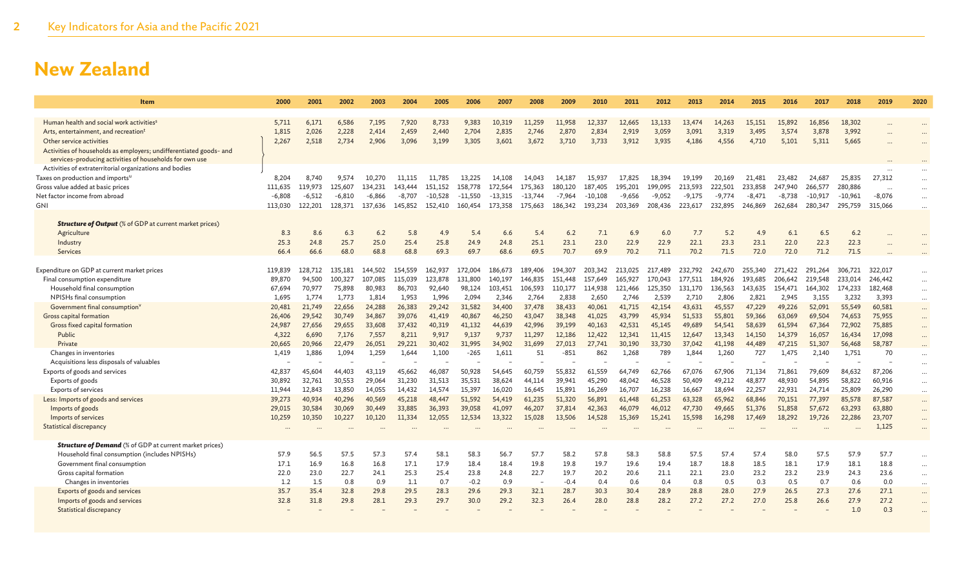| Item                                                                              | 2000     | 2001     | 2002    | 2003     | 2004     | 2005      | 2006      | 2007      | 2008      | 2009     | 2010      | 2011     | 2012     | 2013     | 2014     | 2015     | 2016     | 2017      | 2018      | 2019                  | 2020     |
|-----------------------------------------------------------------------------------|----------|----------|---------|----------|----------|-----------|-----------|-----------|-----------|----------|-----------|----------|----------|----------|----------|----------|----------|-----------|-----------|-----------------------|----------|
|                                                                                   |          |          |         |          |          |           |           |           |           |          |           |          |          |          |          |          |          |           |           |                       |          |
| Human health and social work activities <sup>s</sup>                              | 5,711    | 6.171    | 6,586   | 7,195    | 7.920    | 8.733     | 9,383     | 10,319    | 11.259    | 11,958   | 12.337    | 12,665   | 13,133   | 13,474   | 14.263   | 15,151   | 15,892   | 16.856    | 18,302    |                       |          |
| Arts, entertainment, and recreation <sup>t</sup>                                  | 1,815    | 2,026    | 2,228   | 2,414    | 2,459    | 2,440     | 2,704     | 2,835     | 2,746     | 2,870    | 2,834     | 2,919    | 3,059    | 3,091    | 3,319    | 3,495    | 3,574    | 3,878     | 3,992     |                       |          |
| Other service activities                                                          | 2,267    | 2,518    | 2,734   | 2,906    | 3.096    | 3,199     | 3,305     | 3.601     | 3.672     | 3,710    | 3,733     | 3.912    | 3.935    | 4.186    | 4,556    | 4,710    | 5.101    | 5,311     | 5,665     |                       |          |
| Activities of households as employers; undifferentiated goods- and                |          |          |         |          |          |           |           |           |           |          |           |          |          |          |          |          |          |           |           |                       |          |
| services-producing activities of households for own use                           |          |          |         |          |          |           |           |           |           |          |           |          |          |          |          |          |          |           |           |                       |          |
| Activities of extraterritorial organizations and bodies                           | 8,204    | 8.740    | 9.574   | 10.270   | 11.115   | 11.785    | 13.225    | 14.108    | 14,043    | 14.187   | 15,937    | 17,825   | 18.394   | 19.199   | 20.169   | 21,481   | 23,482   | 24,687    | 25,835    | 27,312                |          |
| Taxes on production and imports <sup>u</sup><br>Gross value added at basic prices | 111,635  | 119,973  | 125.607 | 134,231  | 143,444  | 151.152   | 158,778   | 172.564   | 175.363   | 180,120  | 187,405   | 195,201  | 199,095  | 213.593  | 222,501  | 233,858  | 247,940  | 266,577   | 280,886   |                       | $\cdots$ |
| Net factor income from abroad                                                     | $-6,808$ | $-6,512$ | -6,810  | $-6,866$ | $-8,707$ | $-10,528$ | $-11,550$ | $-13,315$ | $-13.744$ | $-7,964$ | $-10,108$ | $-9,656$ | $-9,052$ | $-9,175$ | $-9,774$ | $-8,471$ | $-8,738$ | $-10,917$ | $-10,961$ | $\ddotsc$<br>$-8,076$ |          |
| GNI                                                                               | 113,030  | 122,201  | 128,371 | 137,636  | 145,852  | 152,410   | 160,454   | 173.358   | 175.663   | 186,342  | 193,234   | 203,369  | 208,436  | 223,617  | 232,895  | 246,869  | 262,684  | 280,347   | 295,759   | 315,066               | $\cdots$ |
|                                                                                   |          |          |         |          |          |           |           |           |           |          |           |          |          |          |          |          |          |           |           |                       | $\ldots$ |
| <b>Structure of Output</b> (% of GDP at current market prices)                    |          |          |         |          |          |           |           |           |           |          |           |          |          |          |          |          |          |           |           |                       |          |
| Agriculture                                                                       | 8.3      | 8.6      | 6.3     | 6.2      | 5.8      | 4.9       | 5.4       | 6.6       | 5.4       | 6.2      | 7.1       | 6.9      | 6.0      | 7.7      | 5.2      | 4.9      | 6.1      | 6.5       | 6.2       |                       |          |
| Industry                                                                          | 25.3     | 24.8     | 25.7    | 25.0     | 25.4     | 25.8      | 24.9      | 24.8      | 25.1      | 23.1     | 23.0      | 22.9     | 22.9     | 22.1     | 23.3     | 23.1     | 22.0     | 22.3      | 22.3      |                       |          |
| Services                                                                          | 66.4     | 66.6     | 68.0    | 68.8     | 68.8     | 69.3      | 69.7      | 68.6      | 69.5      | 70.7     | 69.9      | 70.2     | 71.1     | 70.2     | 71.5     | 72.0     | 72.0     | 71.2      | 71.5      |                       |          |
|                                                                                   |          |          |         |          |          |           |           |           |           |          |           |          |          |          |          |          |          |           |           |                       |          |
| Expenditure on GDP at current market prices                                       | 119,839  | 128,712  | 135,181 | 144,502  | 154,559  | 162,937   | 172,004   | 186.673   | 189,406   | 194,307  | 203.342   | 213,025  | 217,489  | 232.792  | 242,670  | 255.340  | 271,422  | 291.264   | 306.721   | 322.017               | $\cdots$ |
| Final consumption expenditure                                                     | 89,870   | 94,500   | 100,327 | 107,085  | 115.039  | 123,878   | 131,800   | 140.197   | 146,835   | 151,448  | 157,649   | 165.927  | 170,043  | 177.511  | 184,926  | 193.685  | 206.642  | 219,548   | 233.014   | 246,442               |          |
| Household final consumption                                                       | 67,694   | 70,977   | 75,898  | 80,983   | 86,703   | 92,640    | 98,124    | 103,451   | 106,593   | 110,177  | 114,938   | 121,466  | 125,350  | 131,170  | 136,563  | 143,635  | 154,471  | 164,302   | 174,233   | 182,468               | $\cdots$ |
| NPISHs final consumption                                                          | 1,695    | 1,774    | 1,773   | 1,814    | 1,953    | 1,996     | 2,094     | 2,346     | 2,764     | 2,838    | 2,650     | 2,746    | 2,539    | 2,710    | 2,806    | 2,821    | 2,945    | 3,155     | 3,232     | 3,393                 | $\cdots$ |
| Government final consumption <sup>v</sup>                                         | 20,481   | 21,749   | 22,656  | 24,288   | 26,383   | 29,242    | 31,582    | 34,400    | 37,478    | 38,433   | 40,061    | 41,715   | 42,154   | 43,631   | 45,557   | 47,229   | 49,226   | 52,091    | 55,549    | 60,581                | $\cdots$ |
| Gross capital formation                                                           | 26,406   | 29,542   | 30,749  | 34,867   | 39,076   | 41,419    | 40,867    | 46,250    | 43,047    | 38,348   | 41,025    | 43,799   | 45,934   | 51,533   | 55,801   | 59,366   | 63,069   | 69,504    | 74,653    | 75,955                | $\cdots$ |
| Gross fixed capital formation                                                     | 24,987   | 27,656   | 29,655  | 33,608   | 37,432   | 40,319    | 41,132    | 44,639    | 42,996    | 39,199   | 40.163    | 42,531   | 45,145   | 49,689   | 54,541   | 58,639   | 61,594   | 67,364    | 72,902    | 75,885                | $\cdots$ |
| Public                                                                            | 4,322    | 6,690    | 7,176   | 7,557    | 8.211    | 9.917     | 9,137     | 9,737     | 11.297    | 12,186   | 12,422    | 12.341   | 11,415   | 12,647   | 13,343   | 14,150   | 14,379   | 16,057    | 16,434    | 17,098                | $\cdots$ |
| Private                                                                           | 20,665   | 20,966   | 22,479  | 26,051   | 29.221   | 30,402    | 31,995    | 34,902    | 31,699    | 27,013   | 27,741    | 30,190   | 33,730   | 37,042   | 41,198   | 44,489   | 47,215   | 51.307    | 56,468    | 58,787                |          |
| Changes in inventories                                                            | 1,419    | 1,886    | 1,094   | 1,259    | 1,644    | 1,100     | $-265$    | 1,611     | 51        | $-851$   | 862       | 1,268    | 789      | 1,844    | 1,260    | 727      | 1,475    | 2,140     | 1,751     | 70                    | $\cdots$ |
| Acquisitions less disposals of valuables                                          |          |          |         |          |          |           |           |           |           |          |           |          |          |          |          |          |          |           |           |                       | $\cdots$ |
| Exports of goods and services                                                     | 42,837   | 45,604   | 44,403  | 43,119   | 45.662   | 46,087    | 50,928    | 54,645    | 60,759    | 55,832   | 61,559    | 64,749   | 62,766   | 67,076   | 67,906   | 71,134   | 71,861   | 79,609    | 84,632    | 87,206                | $\cdots$ |
| Exports of goods                                                                  | 30,892   | 32,761   | 30,553  | 29,064   | 31,230   | 31,513    | 35,531    | 38,624    | 44,114    | 39,941   | 45,290    | 48,042   | 46,528   | 50,409   | 49,212   | 48,877   | 48,930   | 54,895    | 58,822    | 60,916                | $\cdots$ |
| <b>Exports of services</b>                                                        | 11,944   | 12,843   | 13,850  | 14,055   | 14,432   | 14,574    | 15,397    | 16,020    | 16,645    | 15,891   | 16,269    | 16,707   | 16,238   | 16,667   | 18,694   | 22,257   | 22,931   | 24,714    | 25,809    | 26,290                | $\cdots$ |
| Less: Imports of goods and services                                               | 39,273   | 40.934   | 40,296  | 40,569   | 45,218   | 48,447    | 51,592    | 54,419    | 61,235    | 51,320   | 56,891    | 61,448   | 61,253   | 63,328   | 65,962   | 68,846   | 70,151   | 77,397    | 85,578    | 87,587                |          |
| Imports of goods                                                                  | 29,015   | 30,584   | 30,069  | 30,449   | 33,885   | 36,393    | 39,058    | 41,097    | 46,207    | 37,814   | 42,363    | 46,079   | 46,012   | 47.730   | 49,665   | 51,376   | 51,858   | 57,672    | 63,293    | 63,880                | $\cdots$ |
| Imports of services                                                               | 10,259   | 10,350   | 10,227  | 10,120   | 11,334   | 12,055    | 12,534    | 13,322    | 15,028    | 13,506   | 14,528    | 15,369   | 15,241   | 15,598   | 16,298   | 17,469   | 18,292   | 19,726    | 22,286    | 23,707                | $\cdots$ |
| <b>Statistical discrepancy</b>                                                    |          |          |         |          |          |           |           |           |           |          |           |          |          |          |          |          |          |           |           | 1,125                 | $\cdots$ |
|                                                                                   |          |          |         |          |          |           |           |           |           |          |           |          |          |          |          |          |          |           |           |                       |          |
| <b>Structure of Demand</b> (% of GDP at current market prices)                    | 57.9     | 56.5     | 57.5    | 57.3     | 57.4     | 58.1      | 58.3      | 56.7      | 57.7      | 58.2     | 57.8      | 58.3     | 58.8     | 57.5     | 57.4     | 57.4     | 58.0     | 57.5      | 57.9      | 57.7                  |          |
| Household final consumption (includes NPISHs)<br>Government final consumption     | 17.1     | 16.9     | 16.8    | 16.8     | 17.1     | 17.9      | 18.4      | 18.4      | 19.8      | 19.8     | 19.7      | 19.6     | 19.4     | 18.7     | 18.8     | 18.5     | 18.1     | 17.9      | 18.1      | 18.8                  | $\cdots$ |
| Gross capital formation                                                           | 22.0     | 23.0     | 22.7    | 24.1     | 25.3     | 25.4      | 23.8      | 24.8      | 22.7      | 19.7     | 20.2      | 20.6     | 21.1     | 22.1     | 23.0     | 23.2     | 23.2     | 23.9      | 24.3      | 23.6                  | $\cdots$ |
| Changes in inventories                                                            | 1.2      | 1.5      | 0.8     | 0.9      | 1.1      | 0.7       | $-0.2$    | 0.9       |           | $-0.4$   | 0.4       | 0.6      | 0.4      | 0.8      | 0.5      | 0.3      | 0.5      | 0.7       | 0.6       | 0.0                   | $\cdots$ |
| Exports of goods and services                                                     | 35.7     | 35.4     | 32.8    | 29.8     | 29.5     | 28.3      | 29.6      | 29.3      | 32.1      | 28.7     | 30.3      | 30.4     | 28.9     | 28.8     | 28.0     | 27.9     | 26.5     | 27.3      | 27.6      | 27.1                  | $\cdots$ |
| Imports of goods and services                                                     | 32.8     | 31.8     | 29.8    | 28.1     | 29.3     | 29.7      | 30.0      | 29.2      | 32.3      | 26.4     | 28.0      | 28.8     | 28.2     | 27.2     | 27.2     | 27.0     | 25.8     | 26.6      | 27.9      | 27.2                  | $\cdots$ |
| <b>Statistical discrepancy</b>                                                    |          |          |         |          |          |           |           |           |           |          |           |          |          |          |          |          |          |           | 1.0       | 0.3                   | $\cdots$ |
|                                                                                   |          |          |         |          |          |           |           |           |           |          |           |          |          |          |          |          |          |           |           |                       |          |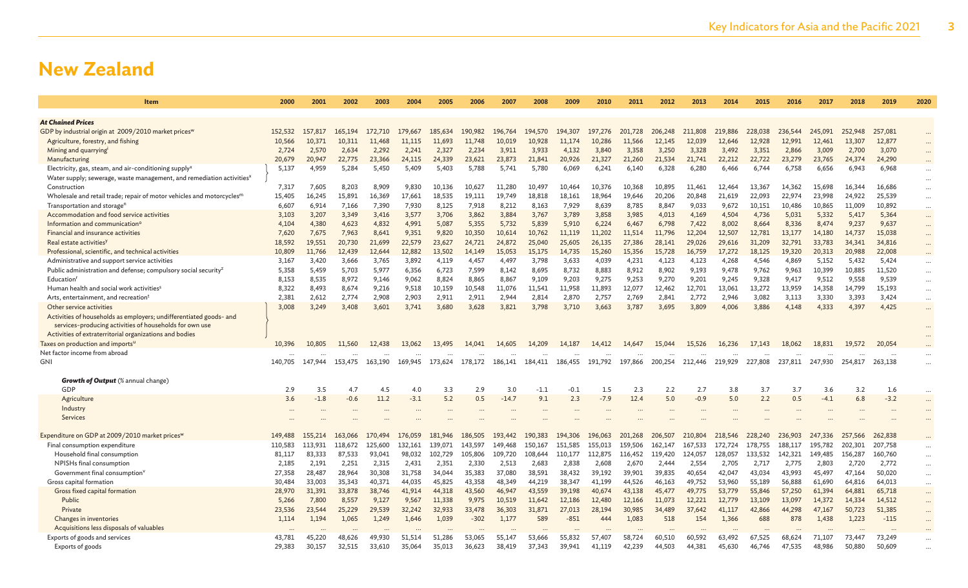| Item                                                                                                                        | 2000            | 2001            | 2002            | 2003            | 2004            | 2005             | 2006                           | 2007             | 2008             | 2009                           | 2010             | 2011             | 2012             | 2013            | 2014             | 2015             | 2016             | 2017             | 2018             | 2019                | 2020                 |
|-----------------------------------------------------------------------------------------------------------------------------|-----------------|-----------------|-----------------|-----------------|-----------------|------------------|--------------------------------|------------------|------------------|--------------------------------|------------------|------------------|------------------|-----------------|------------------|------------------|------------------|------------------|------------------|---------------------|----------------------|
|                                                                                                                             |                 |                 |                 |                 |                 |                  |                                |                  |                  |                                |                  |                  |                  |                 |                  |                  |                  |                  |                  |                     |                      |
| <b>At Chained Prices</b>                                                                                                    |                 |                 |                 |                 |                 |                  |                                |                  |                  |                                |                  |                  |                  |                 |                  |                  |                  |                  |                  |                     |                      |
| GDP by industrial origin at 2009/2010 market prices <sup>w</sup>                                                            | 152,532         | 157,817         | 165,194         | 172,710         | 179,667         | 185,634          | 190,982                        | 196,764          | 194,570          | 194,307                        | 197,276          | 201,728          | 206,248          | 211,808         | 219,886          | 228,038          | 236,544          | 245,091          | 252,948          | 257,081             | $\cdots$             |
| Agriculture, forestry, and fishing                                                                                          | 10,566          | 10,371          | 10.311          | 11,468          | 11.115          | 11,693           | 11,748                         | 10,019           | 10,928           | 11.174                         | 10,286           | 11.566           | 12,145           | 12,039          | 12.646           | 12,928           | 12,991           | 12,461           | 13,307           | 12,877              |                      |
| Mining and quarrying                                                                                                        | 2,724           | 2,570           | 2,634           | 2,292           | 2,241           | 2,327            | 2,234                          | 3,911            | 3,933            | 4,132                          | 3,840            | 3,358            | 3,250            | 3,328           | 3,492            | 3,351            | 2,866            | 3,009            | 2,700            | 3,070               | $\cdots$             |
| Manufacturing                                                                                                               | 20,679          | 20,947          | 22,775          | 23,366          | 24,115          | 24,339           | 23,621                         | 23,873           | 21,841           | 20,926                         | 21,327           | 21,260           | 21.534           | 21,741          | 22,212           | 22,722           | 23,279           | 23.765           | 24,374           | 24.290              |                      |
| Electricity, gas, steam, and air-conditioning supply <sup>x</sup>                                                           | 5,137           | 4,959           | 5,284           | 5,450           | 5,409           | 5,403            | 5,788                          | 5,741            | 5,780            | 6,069                          | 6,241            | 6,140            | 6,328            | 6,280           | 6,466            | 6,744            | 6,758            | 6,656            | 6,943            | 6,968               | $\cdots$             |
| Water supply; sewerage, waste management, and remediation activities <sup>x</sup>                                           |                 |                 |                 |                 |                 |                  |                                |                  |                  |                                |                  |                  |                  |                 |                  |                  |                  |                  |                  |                     |                      |
| Construction                                                                                                                | 7,317           | 7,605           | 8,203           | 8,909           | 9.830           | 10.136           | 10,627                         | 11.280           | 10,497           | 10.464                         | 10.376           | 10,368           | 10,895           | 11.461          | 12.464           | 13,367           | 14.362           | 15,698           | 16,344           | 16,686              | $\cdots$             |
| Wholesale and retail trade; repair of motor vehicles and motorcycles <sup>m</sup>                                           | 15,405          | 16,245          | 15,891          | 16,369          | 17,661          | 18,535           | 19,111                         | 19,749           | 18,818           | 18,161                         | 18,964           | 19,646           | 20,206           | 20,848          | 21,619           | 22,093           | 22,974           | 23,998           | 24,922           | 25,539              |                      |
| Transportation and storage <sup>n</sup>                                                                                     | 6,607           | 6,914           | 7,166           | 7,390           | 7,930           | 8,125            | 7,918                          | 8,212            | 8,163            | 7,929                          | 8,639            | 8,785            | 8,847            | 9,033           | 9,672            | 10,151           | 10,486           | 10,865           | 11,009           | 10,892              | $\cdots$             |
| Accommodation and food service activities                                                                                   | 3,103           | 3,207           | 3,349           | 3,416           | 3,577           | 3,706            | 3,862                          | 3,884            | 3,767            | 3,789                          | 3,858            | 3,985            | 4,013            | 4,169           | 4,504            | 4,736            | 5,031            | 5,332            | 5,417            | 5,364               | $\cdots$             |
| Information and communication <sup>o</sup>                                                                                  | 4,104           | 4,380           | 4,623           | 4,832           | 4,991           | 5,087            | 5,355                          | 5,732            | 5,839            | 5,910                          | 6,224            | 6,467            | 6,798            | 7,422           | 8,002            | 8,664            | 8,336            | 8,474            | 9,237            | 9,637               | $\cdots$             |
| Financial and insurance activities                                                                                          | 7,620           | 7,675<br>19,551 | 7,963           | 8,641           | 9,351           | 9,820            | 10,350                         | 10,614           | 10,762           | 11,119                         | 11,202           | 11,514           | 11,796           | 12,204          | 12,507           | 12,781           | 13,177           | 14,180           | 14,737           | 15,038              | $\cdots$             |
| Real estate activities                                                                                                      | 18,592          |                 | 20,730          | 21,699          | 22,579          | 23,627           | 24,721                         | 24,872           | 25,040           | 25,605                         | 26,135           | 27,386           | 28,141           | 29,026          | 29,616           | 31,209           | 32,791           | 33,783           | 34,341           | 34,816              | $\cdots$             |
| Professional, scientific, and technical activities                                                                          | 10,809          | 11,766<br>3,420 | 12,439          | 12,644<br>3,765 | 12,882<br>3,892 | 13,502           | 14,149<br>4,457                | 15,053<br>4,497  | 15,175<br>3,798  | 14,735<br>3,633                | 15,260<br>4,039  | 15,356<br>4,231  | 15,728           | 16,759<br>4,123 | 17,272<br>4,268  | 18,125<br>4,546  | 19,320           | 20,313<br>5,152  | 20,988<br>5,432  | 22,008<br>5,424     | $\cdots$             |
| Administrative and support service activities<br>Public administration and defense; compulsory social security <sup>z</sup> | 3,167<br>5,358  | 5,459           | 3,666<br>5,703  | 5,977           | 6,356           | 4,119<br>6,723   | 7,599                          | 8,142            | 8,695            | 8,732                          | 8,883            | 8,912            | 4,123<br>8,902   | 9,193           | 9,478            | 9,762            | 4,869<br>9,963   | 10,399           | 10,885           | 11,520              | $\cdots$             |
| Education <sup>1</sup>                                                                                                      | 8,153           | 8,535           | 8,972           | 9,146           | 9,062           | 8,824            | 8,865                          | 8,867            | 9,109            | 9,203                          | 9,275            | 9,253            | 9,270            | 9,201           | 9,245            | 9,328            | 9,417            | 9,512            | 9,558            | 9,539               | $\cdots$             |
| Human health and social work activities <sup>s</sup>                                                                        | 8,322           | 8,493           | 8,674           | 9,216           | 9,518           | 10,159           | 10,548                         | 11,076           | 11,541           | 11,958                         | 11,893           | 12,077           | 12,462           | 12,701          | 13,061           | 13,272           | 13,959           | 14,358           | 14,799           | 15,193              | $\cdots$<br>$\cdots$ |
| Arts, entertainment, and recreation <sup>1</sup>                                                                            | 2,381           | 2,612           | 2,774           | 2,908           | 2,903           | 2,911            | 2,911                          | 2,944            | 2,814            | 2,870                          | 2,757            | 2,769            | 2,841            | 2,772           | 2,946            | 3,082            | 3,113            | 3,330            | 3,393            | 3,424               | $\cdots$             |
| Other service activities                                                                                                    | 3,008           | 3,249           | 3,408           | 3,601           | 3,741           | 3,680            | 3,628                          | 3,821            | 3,798            | 3,710                          | 3,663            | 3,787            | 3,695            | 3,809           | 4,006            | 3,886            | 4,148            | 4,333            | 4,397            | 4,425               | $\cdots$             |
| Activities of households as employers; undifferentiated goods- and                                                          |                 |                 |                 |                 |                 |                  |                                |                  |                  |                                |                  |                  |                  |                 |                  |                  |                  |                  |                  |                     |                      |
| services-producing activities of households for own use                                                                     |                 |                 |                 |                 |                 |                  |                                |                  |                  |                                |                  |                  |                  |                 |                  |                  |                  |                  |                  |                     |                      |
| Activities of extraterritorial organizations and bodies                                                                     |                 |                 |                 |                 |                 |                  |                                |                  |                  |                                |                  |                  |                  |                 |                  |                  |                  |                  |                  |                     | $\cdots$             |
| Taxes on production and importsu                                                                                            | 10,396          | 10,805          | 11,560          | 12,438          | 13,062          | 13,495           | 14,041                         | 14,605           | 14,209           | 14,187                         | 14,412           | 14,647           | 15,044           | 15,526          | 16,236           | 17,143           | 18,062           | 18,831           | 19,572           | 20,054              |                      |
| Net factor income from abroad                                                                                               |                 |                 |                 | $\cdots$        |                 |                  |                                |                  |                  | $\cdots$                       |                  |                  | $\ddots$         | $\cdots$        |                  |                  |                  |                  |                  |                     | $\cdots$             |
| GNI                                                                                                                         | 140.705         | 147,944         | 153,475         | 163,190         | 169.945         | 173,624          | 178.172                        | 186,141          | 184,411          | 186,455                        | 191,792          | 197,866          | 200,254          | 212,446         | 219,929          | 227,808          | 237,811          | 247.930          | 254,817          | 263,138             | $\cdots$             |
|                                                                                                                             |                 |                 |                 |                 |                 |                  |                                |                  |                  |                                |                  |                  |                  |                 |                  |                  |                  |                  |                  |                     |                      |
| <b>Growth of Output</b> (% annual change)                                                                                   |                 |                 |                 |                 |                 |                  |                                |                  |                  |                                |                  |                  |                  |                 |                  |                  |                  |                  |                  |                     |                      |
| GDP                                                                                                                         | 2.9             | 3.5             | 4.7             | 4.5             | 4.0             | 3.3              | 2.9                            | 3.0              | $-1.1$           | $-0.1$                         | 1.5              | 2.3              | 2.2              | 2.7             | 3.8              | 3.7              | 3.7              | 3.6              | 3.2              | 1.6                 | $\cdots$             |
| Agriculture                                                                                                                 | 3.6             | $-1.8$          | $-0.6$          | 11.2            | $-3.1$          | 5.2              | 0.5                            | $-14.7$          | 9.1              | 2.3                            | $-7.9$           | 12.4             | 5.0              | $-0.9$          | 5.0              | 2.2              | 0.5              | $-4.1$           | 6.8              | $-3.2$              | $\cdots$             |
| Industry                                                                                                                    |                 |                 |                 |                 |                 |                  |                                |                  |                  |                                |                  |                  |                  |                 |                  |                  |                  |                  |                  |                     |                      |
| Services                                                                                                                    |                 |                 |                 |                 |                 |                  |                                |                  |                  |                                |                  |                  |                  |                 |                  |                  |                  |                  |                  |                     |                      |
|                                                                                                                             |                 |                 |                 |                 |                 |                  |                                |                  |                  |                                |                  |                  |                  |                 |                  |                  |                  |                  |                  |                     |                      |
| Expenditure on GDP at 2009/2010 market prices <sup>w</sup>                                                                  | 149,488         | 155,214         | 163,066         | 170,494         | 176,059         | 181,946          | 186,505                        | 193,442          | 190,383          | 194,306                        | 196,063          | 201,268          | 206,507          | 210,804         | 218,546          | 228,240          | 236,903          | 247,336          | 257,566          | 262,838             |                      |
| Final consumption expenditure                                                                                               | 110,583         | 113.931         | 118,672         | 125,600         | 132.161         | 139.071          | 143,597                        | 149,468          | 150,167          | 151.585                        | 155,013          | 159.506          | 162.147          | 167.533         | 172,724          | 178.755          | 188,117          | 195.782          | 202,301          | 207,758             |                      |
| Household final consumption                                                                                                 | 81,117          | 83,333          | 87,533          | 93,041          | 98,032          | 102,729          | 105,806                        | 109,720          | 108,644          | 110,177                        | 112,875          | 116,452          | 119,420          | 124,057         | 128,057          | 133,532          | 142,321          | 149,485          | 156,287          | 160,760             | $\cdots$             |
| NPISHs final consumption                                                                                                    | 2,185           | 2,191           | 2,251           | 2,315           | 2,431           | 2,351            | 2,330                          | 2,513            | 2,683            | 2,838                          | 2,608            | 2,670            | 2,444            | 2,554           | 2,705            | 2,717            | 2,775            | 2,803            | 2,720            | 2,772               |                      |
| Government final consumption <sup>v</sup>                                                                                   | 27,358          | 28,487          | 28,964          | 30,308          | 31,758          | 34,044           | 35,383                         | 37,080           | 38,591           | 38,432                         | 39,192           | 39,901           | 39,835           | 40,654          | 42,047           | 43,034           | 43,993           | 45,497           | 47,164           | 50,020              | $\cdots$             |
| Gross capital formation                                                                                                     | 30,484          | 33,003          | 35,343          | 40,371          | 44,035          | 45,825           | 43,358                         | 48,349           | 44,219           | 38,347                         | 41,199           | 44,526           | 46,163           | 49,752          | 53,960           | 55,189           | 56,888           | 61,690           | 64,816           | 64,013              | $\cdots$             |
| Gross fixed capital formation<br>Public                                                                                     | 28,970          | 31,391<br>7,800 | 33,878<br>8,557 | 38,746<br>9,127 | 41,914<br>9,567 | 44,318<br>11,338 | 43,560<br>9,975                | 46,947<br>10,519 | 43,559           | 39,198<br>12,186               | 40,674           | 43,138<br>12,166 | 45,477<br>11,073 | 49,775          | 53,779<br>12,779 | 55,846           | 57,250           | 61,394<br>14,372 | 64,881<br>14,334 | 65,718              | $\cdots$             |
| Private                                                                                                                     | 5,266<br>23,536 | 23,544          |                 | 29,539          | 32,242          | 32,933           | 33,478                         | 36,303           | 11,642<br>31,871 | 27,013                         | 12,480<br>28,194 | 30,985           | 34,489           | 12,221          | 41,117           | 13,109<br>42,866 | 13,097<br>44,298 | 47,167           | 50,723           | 14,512<br>51,385    | $\cdots$             |
| Changes in inventories                                                                                                      | 1,114           | 1,194           | 25,229<br>1,065 | 1,249           | 1,646           | 1,039            | $-302$                         | 1,177            | 589              | $-851$                         | 444              | 1,083            | 518              | 37,642<br>154   | 1,366            | 688              | 878              | 1,438            | 1,223            | $-115$              | $\cdots$             |
| Acquisitions less disposals of valuables                                                                                    |                 |                 |                 |                 |                 |                  |                                |                  |                  |                                |                  |                  |                  |                 |                  |                  |                  |                  |                  |                     | $\cdots$             |
| Exports of goods and services                                                                                               | 43,781          | 45.220          | 48.626          | 49,930          | 51.514          | 51.286           | $\ddot{\phantom{a}}$<br>53,065 | 55,147           | 53,666           | $\ddot{\phantom{a}}$<br>55,832 | 57,407           | 58,724           | 60.510           | 60.592          | 63,492           | 67.525           | 68.624           | 71.107           | 73,447           | $\ddotsc$<br>73,249 | $\cdots$             |
| Exports of goods                                                                                                            | 29,383          | 30,157          | 32,515          | 33,610          | 35,064          | 35,013           | 36,623                         | 38,419           | 37,343           | 39,941                         | 41,119           | 42,239           | 44,503           | 44,381          | 45,630           | 46,746           | 47,535           | 48,986           | 50,880           | 50,609              |                      |
|                                                                                                                             |                 |                 |                 |                 |                 |                  |                                |                  |                  |                                |                  |                  |                  |                 |                  |                  |                  |                  |                  |                     |                      |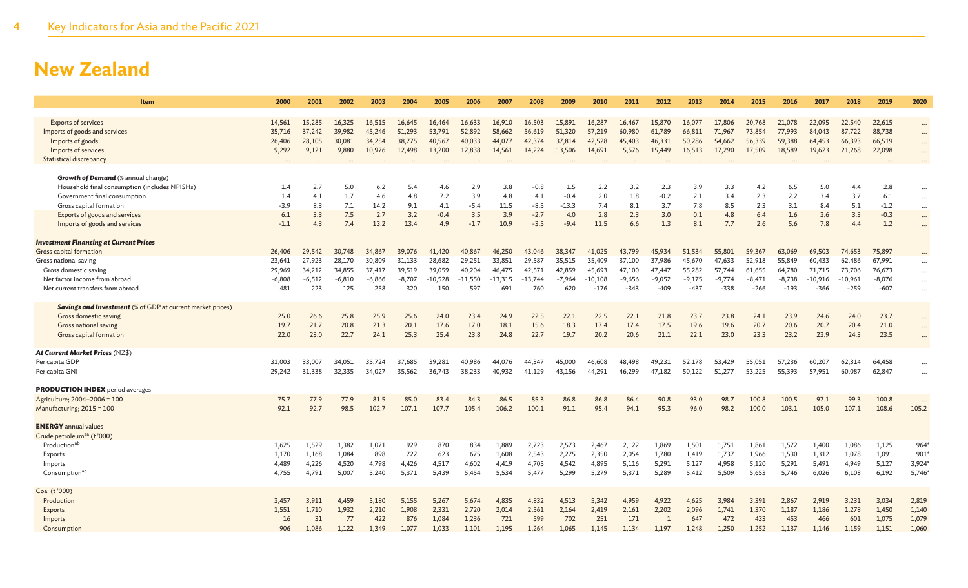| Item                                                              | 2000     | 2001     | 2002     | 2003     | 2004     | 2005      | 2006      | 2007      | 2008      | 2009     | 2010      | 2011     | 2012     | 2013     | 2014     | 2015     | 2016     | 2017      | 2018      | 2019     | 2020     |
|-------------------------------------------------------------------|----------|----------|----------|----------|----------|-----------|-----------|-----------|-----------|----------|-----------|----------|----------|----------|----------|----------|----------|-----------|-----------|----------|----------|
| <b>Exports of services</b>                                        | 14,561   | 15.285   | 16.325   | 16,515   | 16.645   | 16,464    | 16,633    | 16.910    | 16,503    | 15,891   | 16,287    | 16,467   | 15,870   | 16,077   | 17,806   | 20,768   | 21,078   | 22,095    | 22,540    | 22,615   |          |
| Imports of goods and services                                     | 35,716   | 37,242   | 39,982   | 45,246   | 51,293   | 53,791    | 52,892    | 58,662    | 56,619    | 51,320   | 57,219    | 60,980   | 61,789   | 66,811   | 71,967   | 73,854   | 77,993   | 84,043    | 87,722    | 88,738   | $\cdots$ |
| Imports of goods                                                  | 26,406   | 28,105   | 30,081   | 34,254   | 38,775   | 40,567    | 40,033    | 44,077    | 42,374    | 37,814   | 42,528    | 45,403   | 46,331   | 50,286   | 54,662   | 56,339   | 59,388   | 64,453    | 66,393    | 66,519   | $\cdots$ |
| Imports of services                                               | 9,292    | 9,121    | 9,880    | 10,976   | 12,498   | 13,200    | 12,838    | 14,561    | 14,224    | 13,506   | 14,691    | 15,576   | 15,449   | 16,513   | 17,290   | 17,509   | 18,589   | 19,623    | 21,268    | 22,098   |          |
| <b>Statistical discrepancy</b>                                    |          |          |          |          |          |           |           |           |           |          |           |          |          |          |          |          |          |           |           |          |          |
|                                                                   |          |          |          |          |          |           | $\cdots$  | $\cdots$  |           | $\cdots$ | $\cdots$  |          | $\cdots$ | $\cdots$ | $\ddots$ |          |          | $\cdots$  |           | $\cdots$ |          |
| <b>Growth of Demand</b> (% annual change)                         |          |          |          |          |          |           |           |           |           |          |           |          |          |          |          |          |          |           |           |          |          |
| Household final consumption (includes NPISHs)                     | 1.4      | 2.7      | 5.0      | 6.2      | 5.4      | 4.6       | 2.9       | 3.8       | $-0.8$    | 1.5      | 2.2       | 3.2      | 2.3      | 3.9      | 3.3      | 4.2      | 6.5      | 5.0       | 4.4       | 2.8      | $\cdots$ |
| Government final consumption                                      | 1.4      | 4.1      | 1.7      | 4.6      | 4.8      | 7.2       | 3.9       | 4.8       | 4.1       | $-0.4$   | 2.0       | 1.8      | $-0.2$   | 2.1      | 3.4      | 2.3      | 2.2      | 3.4       | 3.7       | 6.1      | $\cdots$ |
| Gross capital formation                                           | $-3.9$   | 8.3      | 7.1      | 14.2     | 9.1      | 4.1       | $-5.4$    | 11.5      | $-8.5$    | $-13.3$  | 7.4       | 8.1      | 3.7      | 7.8      | 8.5      | 2.3      | 3.1      | 8.4       | 5.1       | $-1.2$   | $\cdots$ |
| Exports of goods and services                                     | 6.1      | 3.3      | 7.5      | 2.7      | 3.2      | $-0.4$    | 3.5       | 3.9       | $-2.7$    | 4.0      | 2.8       | 2.3      | 3.0      | 0.1      | 4.8      | 6.4      | 1.6      | 3.6       | 3.3       | $-0.3$   | $\cdots$ |
| Imports of goods and services                                     | $-1.1$   | 4.3      | 7.4      | 13.2     | 13.4     | 4.9       | $-1.7$    | 10.9      | $-3.5$    | $-9.4$   | 11.5      | 6.6      | 1.3      | 8.1      | 7.7      | 2.6      | 5.6      | 7.8       | 4.4       | 1.2      | $\cdots$ |
| <b>Investment Financing at Current Prices</b>                     |          |          |          |          |          |           |           |           |           |          |           |          |          |          |          |          |          |           |           |          |          |
| Gross capital formation                                           | 26,406   | 29,542   | 30,748   | 34,867   | 39,076   | 41,420    | 40,867    | 46,250    | 43,046    | 38,347   | 41,025    | 43,799   | 45,934   | 51,534   | 55,801   | 59,367   | 63,069   | 69,503    | 74,653    | 75,897   |          |
| Gross national saving                                             | 23,641   | 27,923   | 28,170   | 30,809   | 31,133   | 28,682    | 29,251    | 33,851    | 29,587    | 35,515   | 35,409    | 37,100   | 37,986   | 45,670   | 47,633   | 52,918   | 55,849   | 60,433    | 62,486    | 67,991   |          |
| Gross domestic saving                                             | 29,969   | 34,212   | 34,855   | 37,417   | 39,519   | 39,059    | 40,204    | 46,475    | 42,571    | 42,859   | 45,693    | 47,100   | 47,447   | 55,282   | 57,744   | 61,655   | 64,780   | 71,715    | 73,706    | 76,673   | $\cdots$ |
| Net factor income from abroad                                     | $-6.808$ | $-6,512$ | $-6.810$ | $-6,866$ | $-8,707$ | $-10,528$ | $-11,550$ | $-13,315$ | $-13.744$ | $-7,964$ | $-10,108$ | $-9,656$ | $-9,052$ | $-9,175$ | $-9,774$ | $-8,471$ | $-8.738$ | $-10,916$ | $-10,961$ | $-8,076$ | $\cdots$ |
| Net current transfers from abroad                                 | 481      | 223      | 125      | 258      | 320      | 150       | 597       | 691       | 760       | 620      | $-176$    | $-343$   | $-409$   | $-437$   | $-338$   | $-266$   | $-193$   | $-366$    | $-259$    | $-607$   | $\cdots$ |
|                                                                   |          |          |          |          |          |           |           |           |           |          |           |          |          |          |          |          |          |           |           |          |          |
| <b>Savings and Investment</b> (% of GDP at current market prices) |          |          |          |          |          |           |           |           |           |          |           |          |          |          |          |          |          |           |           |          |          |
| Gross domestic saving                                             | 25.0     | 26.6     | 25.8     | 25.9     | 25.6     | 24.0      | 23.4      | 24.9      | 22.5      | 22.1     | 22.5      | 22.1     | 21.8     | 23.7     | 23.8     | 24.1     | 23.9     | 24.6      | 24.0      | 23.7     | $\cdots$ |
| Gross national saving                                             | 19.7     | 21.7     | 20.8     | 21.3     | 20.1     | 17.6      | 17.0      | 18.1      | 15.6      | 18.3     | 17.4      | 17.4     | 17.5     | 19.6     | 19.6     | 20.7     | 20.6     | 20.7      | 20.4      | 21.0     | $\cdots$ |
| Gross capital formation                                           | 22.0     | 23.0     | 22.7     | 24.1     | 25.3     | 25.4      | 23.8      | 24.8      | 22.7      | 19.7     | 20.2      | 20.6     | 21.1     | 22.1     | 23.0     | 23.3     | 23.2     | 23.9      | 24.3      | 23.5     | $\cdots$ |
|                                                                   |          |          |          |          |          |           |           |           |           |          |           |          |          |          |          |          |          |           |           |          |          |
| At Current Market Prices (NZ\$)<br>Per capita GDP                 | 31,003   | 33,007   | 34,051   | 35,724   | 37.685   | 39,281    | 40,986    | 44.076    | 44,347    | 45,000   | 46,608    | 48,498   | 49,231   | 52,178   | 53,429   | 55,051   | 57.236   | 60,207    | 62,314    | 64,458   |          |
|                                                                   |          |          | 32.335   | 34,027   | 35.562   |           |           | 40.932    |           | 43.156   | 44.291    | 46.299   | 47,182   | 50.122   | 51.277   |          | 55,393   | 57.951    |           |          | $\cdots$ |
| Per capita GNI                                                    | 29,242   | 31,338   |          |          |          | 36.743    | 38,233    |           | 41,129    |          |           |          |          |          |          | 53,225   |          |           | 60,087    | 62,847   |          |
| <b>PRODUCTION INDEX</b> period averages                           |          |          |          |          |          |           |           |           |           |          |           |          |          |          |          |          |          |           |           |          |          |
| Agriculture; 2004-2006 = 100                                      | 75.7     | 77.9     | 77.9     | 81.5     | 85.0     | 83.4      | 84.3      | 86.5      | 85.3      | 86.8     | 86.8      | 86.4     | 90.8     | 93.0     | 98.7     | 100.8    | 100.5    | 97.1      | 99.3      | 100.8    | $\cdots$ |
| Manufacturing; 2015 = 100                                         | 92.1     | 92.7     | 98.5     | 102.7    | 107.1    | 107.7     | 105.4     | 106.2     | 100.1     | 91.1     | 95.4      | 94.1     | 95.3     | 96.0     | 98.2     | 100.0    | 103.1    | 105.0     | 107.1     | 108.6    | 105.2    |
|                                                                   |          |          |          |          |          |           |           |           |           |          |           |          |          |          |          |          |          |           |           |          |          |
| <b>ENERGY</b> annual values                                       |          |          |          |          |          |           |           |           |           |          |           |          |          |          |          |          |          |           |           |          |          |
| Crude petroleumaa (t '000)                                        |          |          |          |          |          |           |           |           |           |          |           |          |          |          |          |          |          |           |           |          |          |
| Productionab                                                      | 1,625    | 1,529    | 1,382    | 1,071    | 929      | 870       | 834       | 1,889     | 2,723     | 2,573    | 2,467     | 2,122    | 1,869    | 1,501    | 1,751    | 1,861    | 1,572    | 1,400     | 1,086     | 1,125    | $964*$   |
| Exports                                                           | 1,170    | 1,168    | 1,084    | 898      | 722      | 623       | 675       | 1,608     | 2,543     | 2,275    | 2,350     | 2,054    | 1,780    | 1,419    | 1,737    | 1,966    | 1,530    | 1,312     | 1,078     | 1,091    | 901      |
| Imports                                                           | 4,489    | 4,226    | 4,520    | 4,798    | 4,426    | 4,517     | 4,602     | 4,419     | 4,705     | 4,542    | 4,895     | 5,116    | 5,291    | 5,127    | 4,958    | 5,120    | 5,291    | 5,491     | 4,949     | 5,127    | 3,924*   |
| Consumption <sup>ac</sup>                                         | 4,755    | 4,791    | 5,007    | 5,240    | 5,371    | 5,439     | 5,454     | 5,534     | 5,477     | 5,299    | 5,279     | 5,371    | 5,289    | 5,412    | 5,509    | 5,653    | 5,746    | 6,026     | 6,108     | 6,192    | $5,746*$ |
| Coal (t'000)                                                      |          |          |          |          |          |           |           |           |           |          |           |          |          |          |          |          |          |           |           |          |          |
| Production                                                        | 3,457    | 3,911    | 4,459    | 5,180    | 5,155    | 5,267     | 5,674     | 4,835     | 4,832     | 4,513    | 5,342     | 4,959    | 4,922    | 4,625    | 3,984    | 3,391    | 2,867    | 2,919     | 3,231     | 3,034    | 2,819    |
| <b>Exports</b>                                                    | 1,551    | 1,710    | 1,932    | 2,210    | 1,908    | 2,331     | 2,720     | 2,014     | 2,561     | 2,164    | 2,419     | 2,161    | 2,202    | 2,096    | 1,741    | 1,370    | 1,187    | 1,186     | 1,278     | 1,450    | 1,140    |
| Imports                                                           | 16       | 31       | 77       | 422      | 876      | 1,084     | 1,236     | 721       | 599       | 702      | 251       | 171      | -1       | 647      | 472      | 433      | 453      | 466       | 601       | 1,075    | 1,079    |
| Consumption                                                       | 906      | 1.086    | 1.122    | 1.349    | 1.077    | 1.033     | 1,101     | 1.195     | 1.264     | 1.065    | 1.145     | 1.134    | 1.197    | 1.248    | 1.250    | 1.252    | 1.137    | 1.146     | 1.159     | 1.151    | 1,060    |
|                                                                   |          |          |          |          |          |           |           |           |           |          |           |          |          |          |          |          |          |           |           |          |          |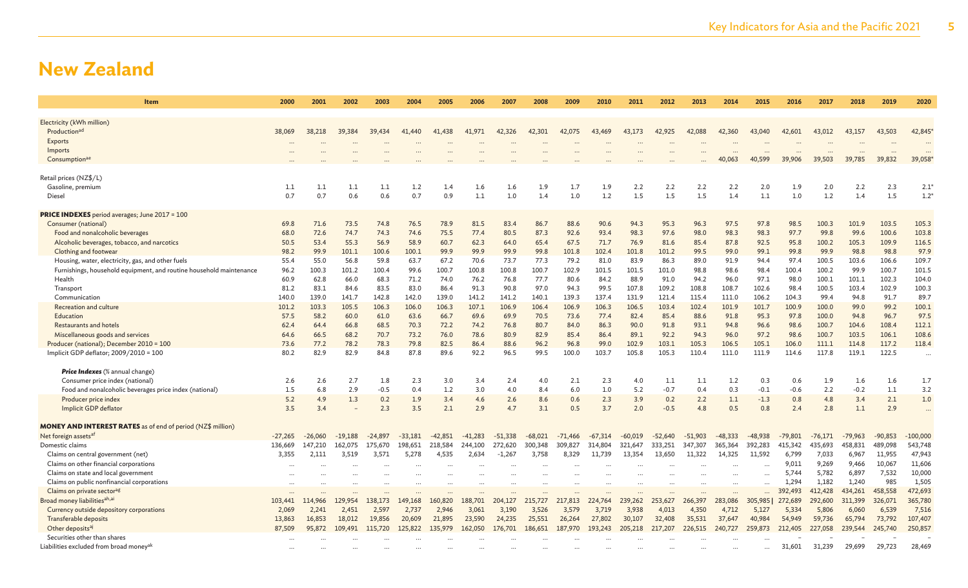| Item                                                                | 2000            | 2001            | 2002            | 2003            | 2004            | 2005            | 2006            | 2007            | 2008            | 2009            | 2010            | 2011            | 2012            | 2013            | 2014            | 2015            | 2016            | 2017            | 2018            | 2019            | 2020                 |
|---------------------------------------------------------------------|-----------------|-----------------|-----------------|-----------------|-----------------|-----------------|-----------------|-----------------|-----------------|-----------------|-----------------|-----------------|-----------------|-----------------|-----------------|-----------------|-----------------|-----------------|-----------------|-----------------|----------------------|
| Electricity (kWh million)                                           |                 |                 |                 |                 |                 |                 |                 |                 |                 |                 |                 |                 |                 |                 |                 |                 |                 |                 |                 |                 |                      |
| Production <sup>ad</sup>                                            | 38,069          | 38,218          | 39.384          | 39,434          | 41,440          | 41,438          | 41,971          | 42,326          | 42,301          | 42,075          | 43,469          | 43,173          | 42,925          | 42,088          | 42,360          | 43,040          | 42,601          | 43,012          | 43,157          | 43,503          | 42,845*              |
| <b>Exports</b>                                                      |                 |                 |                 |                 |                 |                 |                 |                 |                 |                 |                 |                 |                 |                 |                 |                 |                 |                 |                 |                 |                      |
| Imports                                                             |                 |                 |                 |                 |                 |                 |                 |                 |                 |                 |                 |                 |                 |                 |                 |                 |                 |                 |                 |                 |                      |
| Consumptionae                                                       |                 |                 |                 |                 |                 |                 |                 |                 |                 |                 |                 |                 |                 |                 | 40,063          | 40.599          | 39,906          | 39,503          | 39,785          | 39,832          | 39,058               |
|                                                                     |                 |                 |                 |                 |                 |                 |                 |                 |                 |                 |                 |                 |                 |                 |                 |                 |                 |                 |                 |                 |                      |
| Retail prices (NZ\$/L)                                              |                 |                 |                 |                 |                 |                 |                 |                 |                 |                 |                 |                 |                 |                 |                 |                 |                 |                 |                 |                 |                      |
| Gasoline, premium                                                   | 1.1             | 1.1             | 1.1             | 1.1             | 1.2             | 1.4             | 1.6             | 1.6             | 1.9             | 1.7             | 1.9             | 2.2             | 2.2             | 2.2             | 2.2             | 2.0             | 1.9             | 2.0             | 2.2             | 2.3             | 2.1'                 |
| Diesel                                                              | 0.7             | 0.7             | 0.6             | 0.6             | 0.7             | 0.9             | 1.1             | 1.0             | 1.4             | 1.0             | 1.2             | 1.5             | 1.5             | 1.5             | 1.4             | 1.1             | 1.0             | 1.2             | 1.4             | 1.5             | $1.2^{\circ}$        |
| <b>PRICE INDEXES</b> period averages; June 2017 = 100               |                 |                 |                 |                 |                 |                 |                 |                 |                 |                 |                 |                 |                 |                 |                 |                 |                 |                 |                 |                 |                      |
| Consumer (national)                                                 | 69.8            | 71.6            | 73.5            | 74.8            | 76.5            | 78.9            | 81.5            | 83.4            | 86.7            | 88.6            | 90.6            | 94.3            | 95.3            | 96.3            | 97.5            | 97.8            | 98.5            | 100.3           | 101.9           | 103.5           | 105.3                |
| Food and nonalcoholic beverages                                     | 68.0            | 72.6            | 74.7            | 74.3            | 74.6            | 75.5            | 77.4            | 80.5            | 87.3            | 92.6            | 93.4            | 98.3            | 97.6            | 98.0            | 98.3            | 98.3            | 97.7            | 99.8            | 99.6            | 100.6           | 103.8                |
| Alcoholic beverages, tobacco, and narcotics                         | 50.5            | 53.4            | 55.3            | 56.9            | 58.9            | 60.7            | 62.3            | 64.0            | 65.4            | 67.5            | 71.7            | 76.9            | 81.6            | 85.4            | 87.8            | 92.5            | 95.8            | 100.2           | 105.3           | 109.9           | 116.5                |
| Clothing and footwear                                               | 98.2            | 99.9            | 101.1           | 100.6           | 100.1           | 99.9            | 99.9            | 99.9            | 99.8            | 101.8           | 102.4           | 101.8           | 101.2           | 99.5            | 99.0            | 99.1            | 99.8            | 99.9            | 98.8            | 98.8            | 97.9                 |
| Housing, water, electricity, gas, and other fuels                   | 55.4            | 55.0            | 56.8            | 59.8            | 63.7            | 67.2            | 70.6            | 73.7            | 77.3            | 79.2            | 81.0            | 83.9            | 86.3            | 89.0            | 91.9            | 94.4            | 97.4            | 100.5           | 103.6           | 106.6           | 109.7                |
| Furnishings, household equipment, and routine household maintenance | 96.2            | 100.3           | 101.2           | 100.4           | 99.6            | 100.7           | 100.8           | 100.8           | 100.7           | 102.9           | 101.5           | 101.5           | 101.0           | 98.8            | 98.6            | 98.4            | 100.4           | 100.2           | 99.9            | 100.7           | 101.5                |
| Health<br>Transport                                                 | 60.9<br>81.2    | 62.8<br>83.1    | 66.0<br>84.6    | 68.3<br>83.5    | 71.2<br>83.0    | 74.0<br>86.4    | 76.2<br>91.3    | 76.8<br>90.8    | 77.7<br>97.0    | 80.6<br>94.3    | 84.2<br>99.5    | 88.9<br>107.8   | 91.0<br>109.2   | 94.2<br>108.8   | 96.0<br>108.7   | 97.1<br>102.6   | 98.0<br>98.4    | 100.1<br>100.5  | 101.1<br>103.4  | 102.3<br>102.9  | 104.0<br>100.3       |
| Communication                                                       | 140.0           | 139.0           | 141.7           | 142.8           | 142.0           | 139.0           | 141.2           | 141.2           | 140.1           | 139.3           | 137.4           | 131.9           | 121.4           | 115.4           | 111.0           | 106.2           | 104.3           | 99.4            | 94.8            | 91.7            | 89.7                 |
| Recreation and culture                                              | 101.2           | 103.3           | 105.5           | 106.3           | 106.0           | 106.3           | 107.1           | 106.9           | 106.4           | 106.9           | 106.3           | 106.5           | 103.4           | 102.4           | 101.9           | 101.7           | 100.9           | 100.0           | 99.0            | 99.2            | 100.1                |
| Education                                                           | 57.5            | 58.2            | 60.0            | 61.0            | 63.6            | 66.7            | 69.6            | 69.9            | 70.5            | 73.6            | 77.4            | 82.4            | 85.4            | 88.6            | 91.8            | 95.3            | 97.8            | 100.0           | 94.8            | 96.7            | 97.5                 |
| Restaurants and hotels                                              | 62.4            | 64.4            | 66.8            | 68.5            | 70.3            | 72.2            | 74.2            | 76.8            | 80.7            | 84.0            | 86.3            | 90.0            | 91.8            | 93.1            | 94.8            | 96.6            | 98.6            | 100.7           | 104.6           | 108.4           | 112.1                |
| Miscellaneous goods and services                                    | 64.6            | 66.5            | 68.2            | 70.7            | 73.2            | 76.0            | 78.6            | 80.9            | 82.9            | 85.4            | 86.4            | 89.1            | 92.2            | 94.3            | 96.0            | 97.2            | 98.6            | 100.7           | 103.5           | 106.1           | 108.6                |
| Producer (national); December 2010 = 100                            | 73.6            | 77.2            | 78.2            | 78.3            | 79.8            | 82.5            | 86.4            | 88.6            | 96.2            | 96.8            | 99.0            | 102.9           | 103.1           | 105.3           | 106.5           | 105.1           | 106.0           | 111.1           | 114.8           | 117.2           | 118.4                |
| Implicit GDP deflator; 2009/2010 = 100                              | 80.2            | 82.9            | 82.9            | 84.8            | 87.8            | 89.6            | 92.2            | 96.5            | 99.5            | 100.0           | 103.7           | 105.8           | 105.3           | 110.4           | 111.0           | 111.9           | 114.6           | 117.8           | 119.1           | 122.5           |                      |
| <b>Price Indexes</b> (% annual change)                              |                 |                 |                 |                 |                 |                 |                 |                 |                 |                 |                 |                 |                 |                 |                 |                 |                 |                 |                 |                 |                      |
| Consumer price index (national)                                     | 2.6             | 2.6             | 2.7             | 1.8             | 2.3             | 3.0             | 3.4             | 2.4             | 4.0             | 2.1             | 2.3             | 4.0             | 1.1             | 1.1             | 1.2             | 0.3             | 0.6             | 1.9             | 1.6             | 1.6             | 1.7                  |
| Food and nonalcoholic beverages price index (national)              | 1.5             | 6.8             | 2.9             | $-0.5$          | 0.4             | 1.2             | 3.0             | 4.0             | 8.4             | 6.0             | 1.0             | 5.2             | $-0.7$          | 0.4             | 0.3             | $-0.1$          | $-0.6$          | 2.2             | $-0.2$          | 1.1             | 3.2                  |
| Producer price index                                                | 5.2             | 4.9             | 1.3             | 0.2             | 1.9             | 3.4             | 4.6             | 2.6             | 8.6             | 0.6             | 2.3             | 3.9             | 0.2             | 2.2             | 1.1             | $-1.3$          | 0.8             | 4.8             | 3.4             | 2.1             | 1.0                  |
| Implicit GDP deflator                                               | 3.5             | 3.4             |                 | 2.3             | 3.5             | 2.1             | 2.9             | 4.7             | 3.1             | 0.5             | 3.7             | 2.0             | $-0.5$          | 4.8             | 0.5             | 0.8             | 2.4             | 2.8             | 1.1             | 2.9             | $\ddot{\phantom{a}}$ |
| <b>MONEY AND INTEREST RATES</b> as of end of period (NZ\$ million)  |                 |                 |                 |                 |                 |                 |                 |                 |                 |                 |                 |                 |                 |                 |                 |                 |                 |                 |                 |                 |                      |
| Net foreign assets <sup>af</sup>                                    | $-27,265$       | $-26,060$       | $-19,188$       | $-24,897$       | $-33,181$       | $-42,851$       | $-41,283$       | $-51,338$       | $-68,021$       | $-71,466$       | $-67,314$       | $-60,019$       | $-52,640$       | $-51,903$       | $-48,333$       | $-48,938$       | $-79,801$       | $-76,171$       | $-79,963$       | $-90,853$       | $-100,000$           |
| Domestic claims                                                     | 136,669         | 147,210         | 162,075         | 175,670         | 198,651         | 218,584         | 244,100         | 272,620         | 300,348         | 309,827         | 314,804         | 321,647         | 333,251         | 347,307         | 365,364         | 392,283         | 415,342         | 435,693         | 458,831         | 489,098         | 543,748              |
| Claims on central government (net)                                  | 3,355           | 2,111           | 3,519           | 3,571           | 5.278           | 4.535           | 2.634           | $-1.267$        | 3,758           | 8.329           | 11,739          | 13.354          | 13.650          | 11.322          | 14.325          | 11.592          | 6,799           | 7,033           | 6,967           | 11,955          | 47,943               |
| Claims on other financial corporations                              |                 |                 |                 |                 |                 |                 |                 |                 |                 |                 |                 |                 |                 |                 |                 |                 | 9,011           | 9,269           | 9,466           | 10,067          | 11,606               |
| Claims on state and local government                                |                 |                 |                 |                 |                 |                 |                 |                 |                 | $\ddotsc$       |                 |                 |                 |                 | $\cdots$        | $\cdots$        | 5,744           | 5,782           | 6,897           | 7,532           | 10,000               |
| Claims on public nonfinancial corporations                          |                 |                 |                 |                 |                 |                 |                 |                 |                 | .               |                 |                 |                 |                 | $\ddots$        | $\cdots$        | 1,294           | 1,182           | 1,240           | 985             | 1,505                |
| Claims on private sectorag                                          |                 |                 |                 |                 |                 |                 |                 |                 |                 |                 |                 |                 |                 |                 | $\ddots$        |                 | 392,493         | 412,428         | 434,261         | 458,558         | 472,693              |
| Broad money liabilities <sup>ah,ai</sup>                            | 103,441         | 114,966         | 129,954         | 138,173         | 149,168         | 160,820         | 188,701         | 204,127         | 215,727         | 217,813         | 224,764         | 239,262         | 253,627         | 266,397         | 283,086         | 305,985         | 272,689         | 292,600         | 311,399         | 326,071         | 365,780              |
| Currency outside depository corporations<br>Transferable deposits   | 2,069<br>13,863 | 2.241<br>16,853 | 2,451<br>18,012 | 2,597<br>19,856 | 2,737<br>20,609 | 2,946<br>21,895 | 3.061<br>23,590 | 3,190<br>24,235 | 3,526<br>25,551 | 3,579<br>26,264 | 3,719<br>27,802 | 3.938<br>30,107 | 4.013<br>32,408 | 4,350<br>35,531 | 4.712<br>37,647 | 5,127<br>40,984 | 5,334<br>54,949 | 5,806<br>59,736 | 6.060<br>65,794 | 6,539<br>73,792 | 7,516<br>107,407     |
| Other deposits <sup>aj</sup>                                        | 87,509          | 95,872          | 109,491         | 115,720         | 125,822         | 135,979         | 162,050         | 176,701         | 186,651         | 187,970         | 193,243         | 205,218         | 217,207         | 226,515         | 240,727         | 259,873         | 212,405         | 227,058         | 239,544         | 245,740         | 250,857              |
| Securities other than shares                                        |                 |                 |                 |                 |                 |                 |                 |                 |                 |                 |                 |                 |                 |                 |                 |                 |                 |                 |                 |                 |                      |
| Liabilities excluded from broad money <sup>ak</sup>                 |                 |                 |                 |                 |                 |                 |                 |                 |                 |                 |                 |                 |                 |                 |                 |                 | 31,601          | 31,239          | 29,699          | 29,723          | 28,469               |
|                                                                     |                 |                 |                 |                 |                 |                 |                 |                 |                 |                 |                 |                 |                 |                 |                 |                 |                 |                 |                 |                 |                      |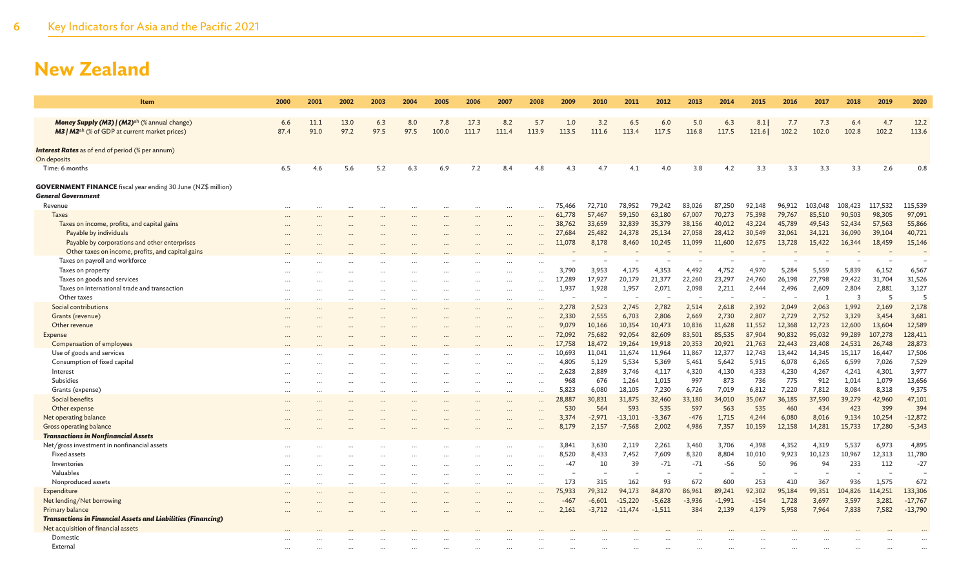| <b>Item</b>                                                                               | 2000     | 2001 | 2002 | 2003 | 2004 | 2005  | 2006  | 2007     | 2008      | 2009   | 2010     | 2011      | 2012     | 2013     | 2014     | 2015   | 2016   | 2017    | 2018    | 2019    | 2020      |
|-------------------------------------------------------------------------------------------|----------|------|------|------|------|-------|-------|----------|-----------|--------|----------|-----------|----------|----------|----------|--------|--------|---------|---------|---------|-----------|
| Money Supply (M3)   (M2) <sup>ah</sup> (% annual change)                                  | 6.6      | 11.1 | 13.0 | 6.3  | 8.0  | 7.8   | 17.3  | 8.2      | 5.7       | 1.0    | 3.2      | 6.5       | 6.0      | 5.0      | 6.3      | 8.1    | 7.7    | 7.3     | 6.4     | 4.7     | 12.2      |
| <b>M3</b>   M2 <sup>ah</sup> (% of GDP at current market prices)                          | 87.4     | 91.0 | 97.2 | 97.5 | 97.5 | 100.0 | 111.7 | 111.4    | 113.9     | 113.5  | 111.6    | 113.4     | 117.5    | 116.8    | 117.5    | 121.6  | 102.2  | 102.0   | 102.8   | 102.2   | 113.6     |
| <b>Interest Rates</b> as of end of period (% per annum)<br>On deposits                    |          |      |      |      |      |       |       |          |           |        |          |           |          |          |          |        |        |         |         |         |           |
| Time: 6 months                                                                            | 6.5      | 4.6  | 5.6  | 5.2  | 6.3  | 6.9   | 7.2   | 8.4      | 4.8       | 4.3    | 4.7      | 4.1       | 4.0      | 3.8      | 4.2      | 3.3    | 3.3    | 3.3     | 3.3     | 2.6     | 0.8       |
| <b>GOVERNMENT FINANCE</b> fiscal year ending 30 June (NZ\$ million)<br>General Government |          |      |      |      |      |       |       |          |           |        |          |           |          |          |          |        |        |         |         |         |           |
| Revenue                                                                                   | $\cdots$ |      |      |      |      |       |       |          | $\ddotsc$ | 75,466 | 72,710   | 78,952    | 79,242   | 83,026   | 87,250   | 92,148 | 96,912 | 103,048 | 108,423 | 117,532 | 115,539   |
| <b>Taxes</b>                                                                              |          |      |      |      |      |       |       |          |           | 61,778 | 57,467   | 59,150    | 63,180   | 67,007   | 70,273   | 75,398 | 79,767 | 85,510  | 90,503  | 98,305  | 97,091    |
| Taxes on income, profits, and capital gains                                               |          |      |      |      |      |       |       |          |           | 38,762 | 33,659   | 32,839    | 35,379   | 38,156   | 40,012   | 43,224 | 45,789 | 49,543  | 52,434  | 57,563  | 55,866    |
| Payable by individuals                                                                    |          |      |      |      |      |       |       |          |           | 27,684 | 25,482   | 24,378    | 25,134   | 27,058   | 28,412   | 30,549 | 32,061 | 34,121  | 36,090  | 39,104  | 40,721    |
| Payable by corporations and other enterprises                                             |          |      |      |      |      |       |       |          |           | 11,078 | 8,178    | 8,460     | 10,245   | 11,099   | 11,600   | 12,675 | 13,728 | 15,422  | 16,344  | 18,459  | 15,146    |
| Other taxes on income, profits, and capital gains                                         |          |      |      |      |      |       |       |          |           |        |          |           |          |          |          |        |        |         |         |         |           |
| Taxes on payroll and workforce                                                            |          |      |      |      |      |       |       |          |           |        |          |           |          |          |          |        |        |         |         |         |           |
| Taxes on property                                                                         |          |      |      |      |      |       |       |          |           | 3,790  | 3.953    | 4.175     | 4,353    | 4,492    | 4,752    | 4,970  | 5,284  | 5,559   | 5,839   | 6,152   | 6,567     |
| Taxes on goods and services                                                               |          |      |      |      |      |       |       |          |           | 17,289 | 17,927   | 20,179    | 21,377   | 22,260   | 23,297   | 24,760 | 26,198 | 27,798  | 29,422  | 31,704  | 31,526    |
| Taxes on international trade and transaction                                              |          |      |      |      |      |       |       |          |           | 1,937  | 1,928    | 1,957     | 2,071    | 2,098    | 2,211    | 2,444  | 2,496  | 2,609   | 2,804   | 2,881   | 3,127     |
| Other taxes                                                                               |          |      |      |      |      |       |       |          |           |        |          |           |          |          |          |        |        |         | 3       | 5       | 5         |
|                                                                                           |          |      |      |      |      |       |       |          |           |        |          |           |          |          |          |        |        |         |         |         |           |
| Social contributions                                                                      |          |      |      |      |      |       |       | $\cdots$ |           | 2,278  | 2,523    | 2,745     | 2,782    | 2,514    | 2,618    | 2,392  | 2,049  | 2,063   | 1,992   | 2,169   | 2,178     |
| Grants (revenue)                                                                          |          |      |      |      |      |       |       |          |           | 2,330  | 2,555    | 6,703     | 2,806    | 2,669    | 2,730    | 2,807  | 2,729  | 2,752   | 3,329   | 3,454   | 3,681     |
| Other revenue                                                                             |          |      |      |      |      |       |       |          |           | 9,079  | 10,166   | 10,354    | 10,473   | 10,836   | 11,628   | 11,552 | 12,368 | 12,723  | 12,600  | 13,604  | 12,589    |
| Expense                                                                                   |          |      |      |      |      |       |       |          |           | 72,092 | 75,682   | 92,054    | 82,609   | 83,501   | 85,535   | 87,904 | 90,832 | 95,032  | 99,289  | 107,278 | 128,411   |
| Compensation of employees                                                                 |          |      |      |      |      |       |       |          |           | 17,758 | 18,472   | 19,264    | 19,918   | 20,353   | 20,921   | 21,763 | 22,443 | 23,408  | 24,531  | 26,748  | 28,873    |
| Use of goods and services                                                                 |          |      |      |      |      |       |       |          |           | 10,693 | 11,041   | 11,674    | 11,964   | 11,867   | 12,377   | 12,743 | 13,442 | 14,345  | 15,117  | 16,447  | 17,506    |
| Consumption of fixed capital                                                              |          |      |      |      |      |       |       |          |           | 4,805  | 5,129    | 5,534     | 5,369    | 5,461    | 5,642    | 5,915  | 6,078  | 6,265   | 6,599   | 7,026   | 7,529     |
| Interest                                                                                  |          |      |      |      |      |       |       | $\cdots$ | $\cdots$  | 2,628  | 2,889    | 3,746     | 4,117    | 4,320    | 4,130    | 4,333  | 4,230  | 4,267   | 4,241   | 4,301   | 3,977     |
| Subsidies                                                                                 |          |      |      |      |      |       |       | $\cdots$ |           | 968    | 676      | 1,264     | 1,015    | 997      | 873      | 736    | 775    | 912     | 1,014   | 1,079   | 13,656    |
| Grants (expense)                                                                          |          |      |      |      |      |       |       | $\cdots$ | $\ddotsc$ | 5,823  | 6,080    | 18,105    | 7,230    | 6,726    | 7,019    | 6,812  | 7,220  | 7,812   | 8,084   | 8,318   | 9,375     |
| Social benefits                                                                           |          |      |      |      |      |       |       | $\cdots$ | $\ddotsc$ | 28,887 | 30,831   | 31,875    | 32,460   | 33,180   | 34,010   | 35,067 | 36,185 | 37,590  | 39,279  | 42,960  | 47,101    |
| Other expense                                                                             |          |      |      |      |      |       |       | $\cdots$ |           | 530    | 564      | 593       | 535      | 597      | 563      | 535    | 460    | 434     | 423     | 399     | 394       |
| Net operating balance                                                                     |          |      |      |      |      |       |       |          |           | 3,374  | $-2,971$ | $-13,101$ | $-3,367$ | $-476$   | 1,715    | 4,244  | 6,080  | 8,016   | 9,134   | 10,254  | $-12,872$ |
| Gross operating balance                                                                   |          |      |      |      |      |       |       |          |           | 8,179  | 2,157    | $-7,568$  | 2,002    | 4,986    | 7,357    | 10,159 | 12,158 | 14,281  | 15,733  | 17,280  | $-5,343$  |
| <b>Transactions in Nonfinancial Assets</b>                                                |          |      |      |      |      |       |       |          |           |        |          |           |          |          |          |        |        |         |         |         |           |
| Net/gross investment in nonfinancial assets                                               |          |      |      |      |      |       |       | $\cdots$ | $\ddotsc$ | 3,841  | 3,630    | 2,119     | 2,261    | 3,460    | 3,706    | 4,398  | 4,352  | 4,319   | 5,537   | 6,973   | 4,895     |
| <b>Fixed assets</b>                                                                       |          |      |      |      |      |       |       | $\cdots$ | $\ddotsc$ | 8,520  | 8,433    | 7,452     | 7,609    | 8,320    | 8,804    | 10,010 | 9,923  | 10,123  | 10,967  | 12,313  | 11,780    |
| Inventories                                                                               |          |      |      |      |      |       |       |          |           | $-47$  | 10       | 39        | $-71$    | $-71$    | $-56$    | 50     | 96     | 94      | 233     | 112     | $-27$     |
| Valuables                                                                                 |          |      |      |      |      |       |       | $\cdots$ | $\ddotsc$ |        |          |           |          |          |          |        |        |         |         |         |           |
| Nonproduced assets                                                                        |          |      |      |      |      |       |       | $\cdots$ | $\cdots$  | 173    | 315      | 162       | 93       | 672      | 600      | 253    | 410    | 367     | 936     | 1,575   | 672       |
| Expenditure                                                                               |          |      |      |      |      |       |       |          |           | 75,933 | 79.312   | 94,173    | 84,870   | 86,961   | 89,241   | 92,302 | 95,184 | 99,351  | 104,826 | 114,251 | 133,306   |
| Net lending/Net borrowing                                                                 |          |      |      |      |      |       |       |          |           | -467   | $-6,601$ | $-15,220$ | $-5,628$ | $-3.936$ | $-1,991$ | $-154$ | 1,728  | 3,697   | 3,597   | 3,281   | $-17,767$ |
| Primary balance                                                                           |          |      |      |      |      |       |       |          |           |        | $-3,712$ | $-11,474$ | $-1,511$ | 384      | 2,139    | 4,179  | 5,958  | 7,964   | 7,838   | 7,582   | $-13,790$ |
| <b>Transactions in Financial Assets and Liabilities (Financing)</b>                       |          |      |      |      |      |       |       |          |           | 2,161  |          |           |          |          |          |        |        |         |         |         |           |
|                                                                                           |          |      |      |      |      |       |       |          |           |        |          |           |          |          |          |        |        |         |         |         |           |
| Net acquisition of financial assets                                                       |          |      |      |      |      |       |       |          |           |        |          |           |          |          |          |        |        |         |         |         |           |
| Domestic                                                                                  |          |      |      |      |      |       |       |          |           |        |          |           |          |          |          |        |        |         |         |         |           |
| External                                                                                  |          |      |      |      |      |       |       |          |           |        |          |           |          |          |          |        |        |         |         |         |           |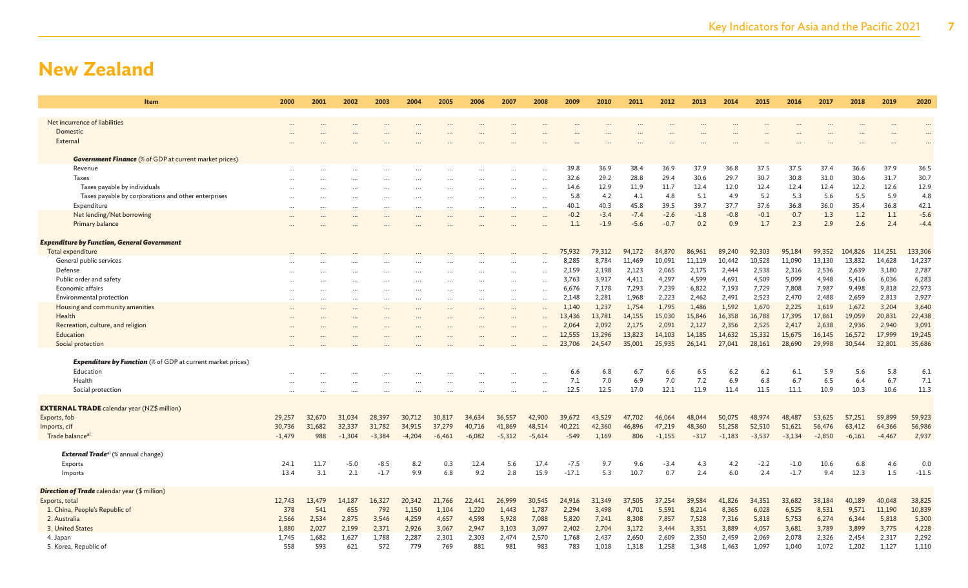| <b>Item</b>                                                        | 2000      | 2001   | 2002     | 2003                 | 2004     | 2005     | 2006      | 2007      | 2008      | 2009    | 2010   | 2011   | 2012     | 2013   | 2014     | 2015     | 2016     | 2017     | 2018     | 2019     | 2020    |
|--------------------------------------------------------------------|-----------|--------|----------|----------------------|----------|----------|-----------|-----------|-----------|---------|--------|--------|----------|--------|----------|----------|----------|----------|----------|----------|---------|
| Net incurrence of liabilities                                      |           |        |          |                      |          |          |           |           |           |         |        |        |          |        |          |          |          |          |          |          |         |
| Domestic                                                           |           |        |          |                      |          |          |           |           |           |         |        |        |          |        |          |          |          |          |          |          |         |
| External                                                           |           |        |          |                      |          |          |           |           |           |         |        |        |          |        |          |          |          |          |          |          |         |
| <b>Government Finance</b> (% of GDP at current market prices)      |           |        |          |                      |          |          |           |           |           |         |        |        |          |        |          |          |          |          |          |          |         |
| Revenue                                                            |           |        |          |                      |          |          |           |           |           | 39.8    | 36.9   | 38.4   | 36.9     | 37.9   | 36.8     | 37.5     | 37.5     | 37.4     | 36.6     | 37.9     | 36.5    |
| <b>Taxes</b>                                                       |           |        |          |                      |          |          |           |           |           | 32.6    | 29.2   | 28.8   | 29.4     | 30.6   | 29.7     | 30.7     | 30.8     | 31.0     | 30.6     | 31.7     | 30.7    |
| Taxes payable by individuals                                       |           |        |          |                      |          |          |           |           | $\cdots$  | 14.6    | 12.9   | 11.9   | 11.7     | 12.4   | 12.0     | 12.4     | 12.4     | 12.4     | 12.2     | 12.6     | 12.9    |
| Taxes payable by corporations and other enterprises                |           |        |          |                      |          |          |           |           |           | 5.8     | 4.2    | 4.1    | 4.8      | 5.1    | 4.9      | 5.2      | 5.3      | 5.6      | 5.5      | 5.9      | 4.8     |
| Expenditure                                                        | $\ddotsc$ |        |          | $\ddot{\phantom{a}}$ |          |          | $\ddotsc$ | $\cdots$  | $\ddotsc$ | 40.1    | 40.3   | 45.8   | 39.5     | 39.7   | 37.7     | 37.6     | 36.8     | 36.0     | 35.4     | 36.8     | 42.1    |
| Net lending/Net borrowing                                          | $\ddotsc$ |        |          | $\ddotsc$            |          |          | $\ddotsc$ | $\cdots$  | $\ddotsc$ | $-0.2$  | $-3.4$ | $-7.4$ | $-2.6$   | $-1.8$ | $-0.8$   | $-0.1$   | 0.7      | 1.3      | 1.2      | 1.1      | $-5.6$  |
| Primary balance                                                    |           |        |          |                      |          |          |           |           |           | 1.1     | $-1.9$ | $-5.6$ | $-0.7$   | 0.2    | 0.9      | 1.7      | 2.3      | 2.9      | 2.6      | 2.4      | $-4.4$  |
|                                                                    |           |        |          |                      |          |          |           |           |           |         |        |        |          |        |          |          |          |          |          |          |         |
| <b>Expenditure by Function, General Government</b>                 |           |        |          |                      |          |          |           |           |           |         |        |        |          |        |          |          |          |          |          |          |         |
| Total expenditure                                                  |           |        |          |                      |          |          |           |           |           | 75,932  | 79,312 | 94,172 | 84,870   | 86,961 | 89,240   | 92,303   | 95,184   | 99,352   | 104,826  | 114,251  | 133,306 |
| General public services                                            |           |        |          |                      |          |          |           |           |           | 8,285   | 8,784  | 11,469 | 10,091   | 11,119 | 10,442   | 10,528   | 11,090   | 13,130   | 13,832   | 14,628   | 14,237  |
| Defense                                                            |           |        |          |                      |          |          | $\ddotsc$ | $\ddotsc$ |           | 2,159   | 2,198  | 2,123  | 2,065    | 2,175  | 2,444    | 2,538    | 2,316    | 2,536    | 2,639    | 3,180    | 2,787   |
| Public order and safety                                            |           |        |          |                      |          |          |           |           |           | 3,763   | 3,917  | 4,411  | 4,297    | 4,599  | 4,691    | 4,509    | 5,099    | 4,948    | 5,416    | 6,036    | 6,283   |
| Economic affairs                                                   | $\ddotsc$ |        |          |                      |          |          | $\ddotsc$ | $\ddotsc$ | $\ddotsc$ | 6,676   | 7,178  | 7,293  | 7,239    | 6,822  | 7,193    | 7,729    | 7,808    | 7,987    | 9,498    | 9,818    | 22,973  |
| Environmental protection                                           |           |        |          | $\ddotsc$            |          | $\cdots$ | $\ddotsc$ | $\ddotsc$ | $\ddotsc$ | 2,148   | 2,281  | 1,968  | 2,223    | 2,462  | 2,491    | 2,523    | 2,470    | 2,488    | 2,659    | 2,813    | 2,927   |
| Housing and community amenities                                    |           |        |          |                      |          |          |           |           |           | 1,140   | 1,237  | 1,754  | 1,795    | 1,486  | 1,592    | 1,670    | 2,225    | 1,619    | 1,672    | 3,204    | 3,640   |
| Health                                                             |           |        |          |                      |          |          |           |           |           | 13,436  | 13,781 | 14,155 | 15,030   | 15,846 | 16,358   | 16,788   | 17,395   | 17,861   | 19,059   | 20,831   | 22,438  |
| Recreation, culture, and religion                                  |           |        |          |                      |          |          |           |           |           | 2,064   | 2,092  | 2,175  | 2,091    | 2,127  | 2,356    | 2,525    | 2,417    | 2,638    | 2,936    | 2,940    | 3,091   |
| Education                                                          |           |        |          |                      |          |          |           |           |           | 12,555  | 13,296 | 13,823 | 14,103   | 14,185 | 14,632   | 15,332   | 15,675   | 16,145   | 16,572   | 17,999   | 19,245  |
| Social protection                                                  |           |        |          |                      |          |          |           |           |           | 23,706  | 24,547 | 35,001 | 25,935   | 26,141 | 27,041   | 28,161   | 28,690   | 29,998   | 30,544   | 32,801   | 35,686  |
| <b>Expenditure by Function</b> (% of GDP at current market prices) |           |        |          |                      |          |          |           |           |           |         |        |        |          |        |          |          |          |          |          |          |         |
| Education                                                          |           |        |          |                      |          |          |           |           |           | 6.6     | 6.8    | 6.7    | 6.6      | 6.5    | 6.2      | 6.2      | 6.1      | 5.9      | 5.6      | 5.8      | 6.1     |
| Health                                                             |           |        |          | $\ddotsc$            |          |          | $\ddotsc$ | $\ddotsc$ |           | 7.1     | 7.0    | 6.9    | 7.0      | 7.2    | 6.9      | 6.8      | 6.7      | 6.5      | 6.4      | 6.7      | 7.1     |
| Social protection                                                  |           |        |          |                      |          |          |           |           |           | 12.5    | 12.5   | 17.0   | 12.1     | 11.9   | 11.4     | 11.5     | 11.1     | 10.9     | 10.3     | 10.6     | 11.3    |
|                                                                    |           |        |          |                      |          |          |           |           |           |         |        |        |          |        |          |          |          |          |          |          |         |
| <b>EXTERNAL TRADE</b> calendar year (NZ\$ million)                 |           |        |          |                      |          |          |           |           |           |         |        |        |          |        |          |          |          |          |          |          |         |
| Exports, fob                                                       | 29,257    | 32,670 | 31,034   | 28,397               | 30,712   | 30,817   | 34,634    | 36,557    | 42,900    | 39,672  | 43,529 | 47,702 | 46,064   | 48,044 | 50,075   | 48,974   | 48,487   | 53,625   | 57,251   | 59,899   | 59,923  |
| Imports, cif                                                       | 30,736    | 31,682 | 32,337   | 31,782               | 34,915   | 37,279   | 40,716    | 41,869    | 48,514    | 40,221  | 42,360 | 46,896 | 47,219   | 48,360 | 51,258   | 52,510   | 51,621   | 56,476   | 63,412   | 64,366   | 56,986  |
| Trade balance <sup>al</sup>                                        | $-1,479$  | 988    | $-1,304$ | $-3,384$             | $-4,204$ | $-6,461$ | $-6,082$  | $-5,312$  | $-5,614$  | $-549$  | 1,169  | 806    | $-1,155$ | $-317$ | $-1,183$ | $-3,537$ | $-3,134$ | $-2,850$ | $-6,161$ | $-4,467$ | 2,937   |
| <b>External Trade</b> <sup>al</sup> (% annual change)              |           |        |          |                      |          |          |           |           |           |         |        |        |          |        |          |          |          |          |          |          |         |
| Exports                                                            | 24.1      | 11.7   | $-5.0$   | $-8.5$               | 8.2      | 0.3      | 12.4      | 5.6       | 17.4      | $-7.5$  | 9.7    | 9.6    | $-3.4$   | 4.3    | 4.2      | $-2.2$   | $-1.0$   | 10.6     | 6.8      | 4.6      | 0.0     |
| Imports                                                            | 13.4      | 3.1    | 2.1      | $-1.7$               | 9.9      | 6.8      | 9.2       | 2.8       | 15.9      | $-17.1$ | 5.3    | 10.7   | 0.7      | 2.4    | 6.0      | 2.4      | $-1.7$   | 9.4      | 12.3     | 1.5      | $-11.5$ |
|                                                                    |           |        |          |                      |          |          |           |           |           |         |        |        |          |        |          |          |          |          |          |          |         |
| <b>Direction of Trade</b> calendar year (\$ million)               |           |        |          |                      |          |          |           |           |           |         |        |        |          |        |          |          |          |          |          |          |         |
| Exports, total                                                     | 12,743    | 13,479 | 14,187   | 16,327               | 20,342   | 21,766   | 22,441    | 26,999    | 30,545    | 24,916  | 31,349 | 37,505 | 37,254   | 39,584 | 41,826   | 34,351   | 33,682   | 38,184   | 40,189   | 40,048   | 38,825  |
| 1. China, People's Republic of                                     | 378       | 541    | 655      | 792                  | 1,150    | 1,104    | 1,220     | 1,443     | 1,787     | 2,294   | 3,498  | 4,701  | 5,591    | 8,214  | 8,365    | 6,028    | 6,525    | 8,531    | 9,571    | 11,190   | 10,839  |
| 2. Australia                                                       | 2,566     | 2,534  | 2,875    | 3,546                | 4,259    | 4,657    | 4,598     | 5,928     | 7,088     | 5,820   | 7,241  | 8,308  | 7,857    | 7,528  | 7,316    | 5,818    | 5,753    | 6,274    | 6,344    | 5,818    | 5,300   |
| 3. United States                                                   | 1,880     | 2,027  | 2,199    | 2,371                | 2,926    | 3,067    | 2,947     | 3,103     | 3,097     | 2,402   | 2,704  | 3,172  | 3,444    | 3,351  | 3,889    | 4,057    | 3,681    | 3,789    | 3,899    | 3,775    | 4,228   |
| 4. Japan                                                           | 1,745     | 1,682  | 1,627    | 1,788                | 2,287    | 2,301    | 2,303     | 2,474     | 2,570     | 1,768   | 2,437  | 2,650  | 2,609    | 2,350  | 2,459    | 2,069    | 2,078    | 2,326    | 2,454    | 2,317    | 2,292   |
| 5. Korea, Republic of                                              | 558       | 593    | 621      | 572                  | 779      | 769      | 881       | 981       | 983       | 783     | 1,018  | 1,318  | 1,258    | 1,348  | 1,463    | 1,097    | 1.040    | 1,072    | 1,202    | 1.127    | 1,110   |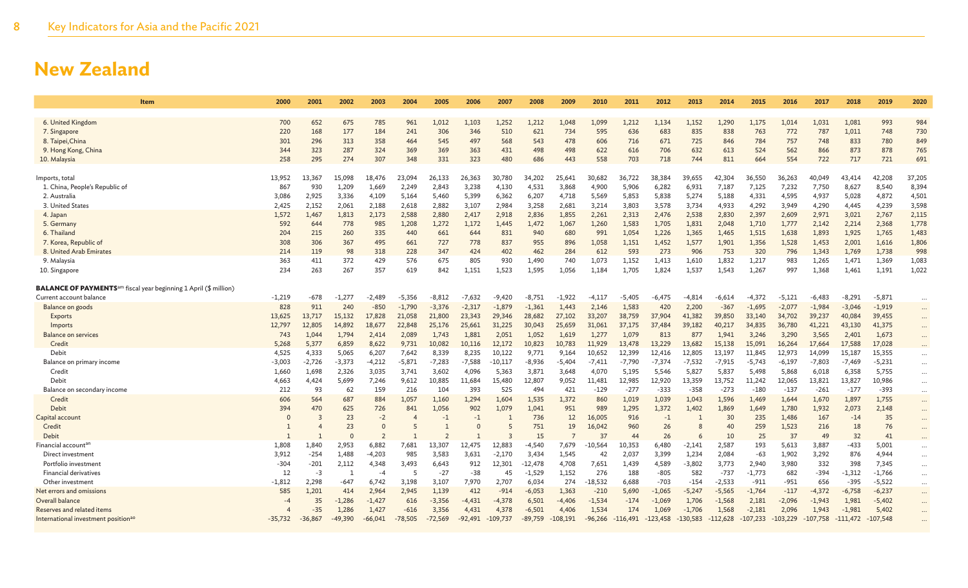| <b>Item</b>                                                                         | 2000      | 2001      | 2002      | 2003           | 2004      | 2005           | 2006      | 2007       | 2008      | 2009       | 2010      | 2011       | 2012       | 2013       | 2014       | 2015       | 2016       | 2017       | 2018       | 2019       | 2020     |
|-------------------------------------------------------------------------------------|-----------|-----------|-----------|----------------|-----------|----------------|-----------|------------|-----------|------------|-----------|------------|------------|------------|------------|------------|------------|------------|------------|------------|----------|
|                                                                                     |           |           |           |                |           |                |           |            |           |            |           |            |            |            |            |            |            |            |            |            |          |
| 6. United Kingdom                                                                   | 700       | 652       | 675       | 785            | 961       | 1,012          | 1,103     | 1,252      | 1,212     | 1,048      | 1,099     | 1,212      | 1,134      | 1,152      | 1,290      | 1,175      | 1,014      | 1,031      | 1,081      | 993        | 984      |
| 7. Singapore                                                                        | 220       | 168       | 177       | 184            | 241       | 306            | 346       | 510        | 621       | 734        | 595       | 636        | 683        | 835        | 838        | 763        | 772        | 787        | 1,011      | 748        | 730      |
| 8. Taipei, China                                                                    | 301       | 296       | 313       | 358            | 464       | 545            | 497       | 568        | 543       | 478        | 606       | 716        | 671        | 725        | 846        | 784        | 757        | 748        | 833        | 780        | 849      |
| 9. Hong Kong, China                                                                 | 344       | 323       | 287       | 324            | 369       | 369            | 363       | 431        | 498       | 498        | 622       | 616        | 706        | 632        | 613        | 524        | 562        | 866        | 873        | 878        | 765      |
| 10. Malaysia                                                                        | 258       | 295       | 274       | 307            | 348       | 331            | 323       | 480        | 686       | 443        | 558       | 703        | 718        | 744        | 811        | 664        | 554        | 722        | 717        | 721        | 691      |
| Imports, total                                                                      | 13,952    | 13,367    | 15,098    | 18,476         | 23,094    | 26,133         | 26,363    | 30,780     | 34,202    | 25,641     | 30,682    | 36,722     | 38,384     | 39,655     | 42,304     | 36,550     | 36,263     | 40,049     | 43,414     | 42,208     | 37,205   |
| 1. China, People's Republic of                                                      | 867       | 930       | 1,209     | 1,669          | 2,249     | 2,843          | 3,238     | 4,130      | 4,531     | 3,868      | 4.900     | 5,906      | 6,282      | 6,931      | 7,187      | 7,125      | 7,232      | 7,750      | 8,627      | 8,540      | 8,394    |
| 2. Australia                                                                        | 3,086     | 2,925     | 3,336     | 4,109          | 5,164     | 5,460          | 5,399     | 6,362      | 6,207     | 4,718      | 5,569     | 5,853      | 5,838      | 5,274      | 5,188      | 4,331      | 4,595      | 4,937      | 5,028      | 4,872      | 4,501    |
| 3. United States                                                                    | 2,425     | 2,152     | 2,061     | 2,188          | 2,618     | 2,882          | 3,107     | 2,984      | 3,258     | 2,681      | 3,214     | 3,803      | 3,578      | 3,734      | 4,933      | 4,292      | 3,949      | 4,290      | 4,445      | 4,239      | 3,598    |
| 4. Japan                                                                            | 1,572     | 1,467     | 1,813     | 2,173          | 2,588     | 2,880          | 2,417     | 2,918      | 2,836     | 1,855      | 2,261     | 2,313      | 2,476      | 2,538      | 2,830      | 2,397      | 2,609      | 2,971      | 3,021      | 2,767      | 2,115    |
| 5. Germany                                                                          | 592       | 644       | 778       | 985            | 1,208     | 1,272          | 1,172     | 1,445      | 1,472     | 1,067      | 1,260     | 1,583      | 1,705      | 1,831      | 2,048      | 1,710      | 1,777      | 2,142      | 2,214      | 2,368      | 1,778    |
| 6. Thailand                                                                         | 204       | 215       | 260       | 335            | 440       | 661            | 644       | 831        | 940       | 680        | 991       | 1,054      | 1,226      | 1,365      | 1.465      | 1,515      | 1.638      | 1,893      | 1,925      | 1,765      | 1,483    |
| 7. Korea, Republic of                                                               | 308       | 306       | 367       | 495            | 661       | 727            | 778       | 837        | 955       | 896        | 1,058     | 1,151      | 1,452      | 1,577      | 1,901      | 1,356      | 1,528      | 1,453      | 2,001      | 1,616      | 1,806    |
| 8. United Arab Emirates                                                             | 214       | 119       | 98        | 318            | 228       | 347            | 424       | 402        | 462       | 284        | 612       | 593        | 273        | 906        | 753        | 320        | 796        | 1,343      | 1,769      | 1,738      | 998      |
| 9. Malaysia                                                                         | 363       | 411       | 372       | 429            | 576       | 675            | 805       | 930        | 1,490     | 740        | 1,073     | 1,152      | 1,413      | 1,610      | 1,832      | 1,217      | 983        | 1,265      | 1,471      | 1,369      | 1,083    |
| 10. Singapore                                                                       | 234       | 263       | 267       | 357            | 619       | 842            | 1.151     | 1,523      | 1,595     | 1,056      | 1,184     | 1.705      | 1,824      | 1,537      | 1,543      | 1,267      | 997        | 1,368      | 1,461      | 1,191      | 1,022    |
|                                                                                     |           |           |           |                |           |                |           |            |           |            |           |            |            |            |            |            |            |            |            |            |          |
| <b>BALANCE OF PAYMENTS</b> <sup>am</sup> fiscal year beginning 1 April (\$ million) |           |           |           |                |           |                |           |            |           |            |           |            |            |            |            |            |            |            |            |            |          |
| Current account balance                                                             | $-1,219$  | $-678$    | $-1,277$  | -2,489         | $-5,356$  | $-8,812$       | $-7,632$  | $-9.420$   | $-8,751$  | $-1,922$   | -4.117    | $-5,405$   | -6,475     | -4,814     | $-6,614$   | $-4,372$   | -5.121     | $-6,483$   | $-8,291$   | $-5,871$   |          |
| Balance on goods                                                                    | 828       | 911       | 240       | $-850$         | $-1,790$  | $-3,376$       | $-2,317$  | $-1,879$   | $-1,361$  | 1,443      | 2,146     | 1,583      | 420        | 2,200      | $-367$     | $-1,695$   | $-2,077$   | $-1,984$   | $-3,046$   | $-1,919$   | $\cdots$ |
| Exports                                                                             | 13,625    | 13.717    | 15.132    | 17,828         | 21,058    | 21,800         | 23,343    | 29,346     | 28,682    | 27,102     | 33,207    | 38,759     | 37,904     | 41.382     | 39,850     | 33,140     | 34,702     | 39,237     | 40,084     | 39,455     | $\cdots$ |
| Imports                                                                             | 12,797    | 12,805    | 14,892    | 18,677         | 22,848    | 25,176         | 25,661    | 31,225     | 30,043    | 25,659     | 31,061    | 37,175     | 37,484     | 39,182     | 40.217     | 34,835     | 36,780     | 41,221     | 43,130     | 41,375     | $\cdots$ |
| <b>Balance on services</b>                                                          | 743       | 1,044     | 1,794     | 2,414          | 2,089     | 1,743          | 1,881     | 2,051      | 1,052     | 1,619      | 1,277     | 1,079      | 813        | 877        | 1,941      | 3,246      | 3,290      | 3,565      | 2,401      | 1,673      | $\cdots$ |
| Credit                                                                              | 5,268     | 5,377     | 6,859     | 8,622          | 9,731     | 10,082         | 10,116    | 12,172     | 10,823    | 10,783     | 11,929    | 13,478     | 13,229     | 13,682     | 15,138     | 15,091     | 16,264     | 17,664     | 17,588     | 17,028     |          |
| Debit                                                                               | 4,525     | 4,333     | 5,065     | 6,207          | 7.642     | 8,339          | 8,235     | 10.122     | 9,771     | 9,164      | 10.652    | 12,399     | 12,416     | 12,805     | 13,197     | 11,845     | 12,973     | 14,099     | 15,187     | 15,355     |          |
| Balance on primary income                                                           | $-3,003$  | $-2,726$  | $-3,373$  | $-4,212$       | $-5,871$  | $-7,283$       | $-7,588$  | $-10,117$  | $-8,936$  | $-5,404$   | $-7,411$  | $-7,790$   | $-7,374$   | $-7,532$   | $-7,915$   | $-5,743$   | $-6,197$   | $-7,803$   | $-7,469$   | $-5,231$   | $\cdots$ |
| Credit                                                                              | 1,660     | 1,698     | 2,326     | 3,035          | 3,741     | 3,602          | 4,096     | 5,363      | 3,871     | 3,648      | 4,070     | 5,195      | 5,546      | 5,827      | 5,837      | 5,498      | 5,868      | 6,018      | 6,358      | 5,755      | $\cdots$ |
| Debit                                                                               | 4,663     | 4,424     | 5,699     | 7,246          | 9,612     | 10,885         | 11,684    | 15,480     | 12,807    | 9,052      | 11,481    | 12,985     | 12,920     | 13,359     | 13,752     | 11,242     | 12,065     | 13,821     | 13,827     | 10,986     |          |
| Balance on secondary income                                                         | 212       | 93        | 62        | 159            | 216       | 104            | 393       | 525        | 494       | 421        | $-129$    | $-277$     | $-333$     | $-358$     | $-273$     | $-180$     | $-137$     | $-261$     | $-177$     | $-393$     | $\cdots$ |
| Credit                                                                              | 606       | 564       | 687       | 884            | 1,057     | 1,160          | 1,294     | 1.604      | 1,535     | 1.372      | 860       | 1,019      | 1,039      | 1,043      | 1,596      | 1,469      | 1.644      | 1.670      | 1,897      | 1,755      | $\cdots$ |
| Debit                                                                               | 394       | 470       | 625       | 726            | 841       | 1,056          | 902       | 1,079      | 1,041     | 951        | 989       | 1,295      | 1,372      | 1,402      | 1,869      | 1,649      | 1,780      | 1,932      | 2,073      | 2,148      | $\cdots$ |
| Capital account                                                                     | $\Omega$  |           | 23        | $-2$           |           | $-1$           | $-1$      |            | 736       | 12         | 16,005    | 916        | $-1$       |            | 30         | 235        | 1.486      | 167        | $-14$      | 35         |          |
| Credit                                                                              |           |           | 23        | $\Omega$       |           |                |           | 5          | 751       | 19         | 16,042    | 960        | 26         | 8          | 40         | 259        | 1,523      | 216        | 18         | 76         | $\cdots$ |
| Debit                                                                               |           |           | $\Omega$  | $\overline{2}$ |           | $\overline{2}$ |           | Е          | 15        | -7         | 37        | 44         | 26         | -6         | 10         | 25         | 37         | 49         | 32         | 41         |          |
| Financial account <sup>ar</sup>                                                     | 1,808     | 1,840     | 2,953     | 6,882          | 7,681     | 13,307         | 12,475    | 12,883     | $-4,540$  | 7,679      | $-10,564$ | 10,353     | 6,480      | $-2,141$   | 2,587      | 193        | 5,613      | 3,887      | $-433$     | 5,001      | $\cdots$ |
| Direct investment                                                                   | 3,912     | $-254$    | 1,488     | $-4,203$       | 985       | 3,583          | 3,631     | $-2,170$   | 3,434     | 1,545      | 42        | 2,037      | 3,399      | 1,234      | 2,084      | $-63$      | 1,902      | 3,292      | 876        | 4,944      | $\cdots$ |
| Portfolio investment                                                                | $-304$    | $-201$    | 2,112     | 4,348          | 3,493     | 6,643          | 912       | 12,301     | -12,478   | 4,708      | 7,651     | 1,439      | 4,589      | $-3,802$   | 3,773      | 2,940      | 3,980      | 332        | 398        | 7,345      | $\cdots$ |
| <b>Financial derivatives</b>                                                        | 12        | $-3$      | -1        | $-4$           | -5        | $-27$          | $-38$     | 45         | $-1,529$  | 1,152      | 276       | 188        | $-805$     | 582        | $-737$     | $-1,773$   | 682        | -394       | $-1,312$   | $-1,766$   | $\cdots$ |
| Other investment                                                                    | $-1,812$  | 2,298     | $-647$    | 6,742          | 3,198     | 3,107          | 7,970     | 2,707      | 6,034     | 274        | $-18,532$ | 6,688      | $-703$     | $-154$     | $-2,533$   | $-911$     | $-951$     | 656        | $-395$     | $-5,522$   | $\cdots$ |
| Net errors and omissions                                                            | 585       | 1,201     | 414       | 2,964          | 2,945     | 1,139          | 412       | $-914$     | $-6,053$  | 1,363      | $-210$    | 5,690      | $-1,065$   | $-5,247$   | $-5,565$   | $-1,764$   | $-117$     | $-4.372$   | $-6,758$   | $-6,237$   | $\cdots$ |
| Overall balance                                                                     | $-4$      | 35        | $-1,286$  | $-1,427$       | 616       | $-3,356$       | $-4,431$  | $-4,378$   | 6,501     | $-4,406$   | $-1,534$  | $-174$     | $-1,069$   | 1,706      | $-1,568$   | 2,181      | $-2,096$   | $-1,943$   | 1,981      | $-5,402$   |          |
| Reserves and related items                                                          |           | $-35$     | 1,286     | 1,427          | $-616$    | 3,356          | 4,431     | 4,378      | $-6,501$  | 4,406      | 1,534     | 174        | 1,069      | $-1,706$   | 1,568      | $-2,181$   | 2,096      | 1,943      | $-1,981$   | 5,402      | $\cdots$ |
| International investment position <sup>ao</sup>                                     | $-35,732$ | $-36,867$ | $-49,390$ | $-66,041$      | $-78,505$ | $-72,569$      | $-92,491$ | $-109,737$ | $-89,759$ | $-108,191$ | $-96,266$ | $-116,491$ | $-123,458$ | $-130,583$ | $-112,628$ | $-107,233$ | $-103,229$ | $-107,758$ | $-111,472$ | $-107,548$ |          |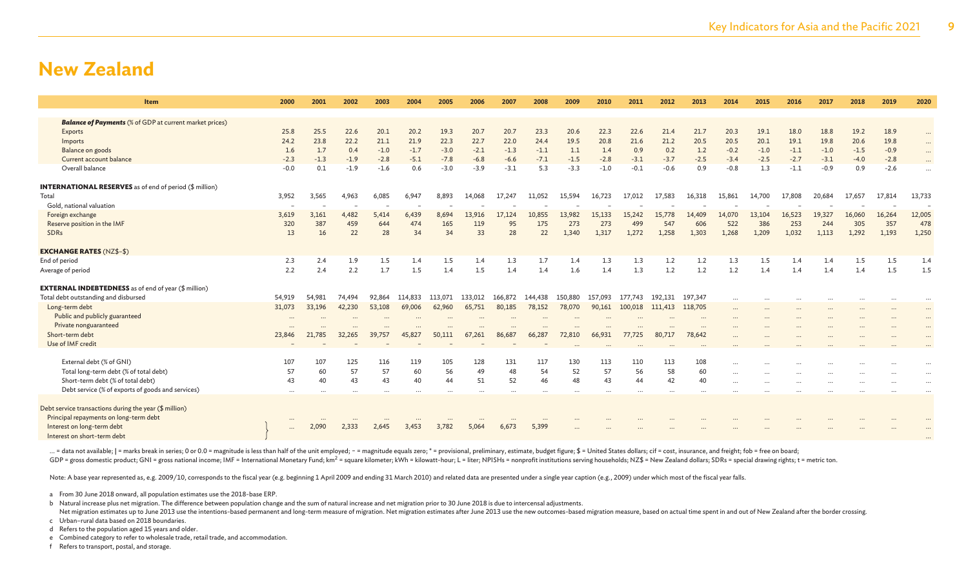| Item                                                           | 2000     | 2001   | 2002   | 2003     | 2004    | 2005    | 2006    | 2007    | 2008    | 2009    | 2010    | 2011    | 2012    | 2013     | 2014                 | 2015                 | 2016                 | 2017     | 2018     | 2019                 | 2020      |
|----------------------------------------------------------------|----------|--------|--------|----------|---------|---------|---------|---------|---------|---------|---------|---------|---------|----------|----------------------|----------------------|----------------------|----------|----------|----------------------|-----------|
|                                                                |          |        |        |          |         |         |         |         |         |         |         |         |         |          |                      |                      |                      |          |          |                      |           |
| <b>Balance of Payments</b> (% of GDP at current market prices) |          |        |        |          |         |         |         |         |         |         |         |         |         |          |                      |                      |                      |          |          |                      |           |
| Exports                                                        | 25.8     | 25.5   | 22.6   | 20.1     | 20.2    | 19.3    | 20.7    | 20.7    | 23.3    | 20.6    | 22.3    | 22.6    | 21.4    | 21.7     | 20.3                 | 19.1                 | 18.0                 | 18.8     | 19.2     | 18.9                 | $\cdots$  |
| Imports                                                        | 24.2     | 23.8   | 22.2   | 21.1     | 21.9    | 22.3    | 22.7    | 22.0    | 24.4    | 19.5    | 20.8    | 21.6    | 21.2    | 20.5     | 20.5                 | 20.1                 | 19.1                 | 19.8     | 20.6     | 19.8                 | $\cdots$  |
| Balance on goods                                               | 1.6      | 1.7    | 0.4    | $-1.0$   | $-1.7$  | $-3.0$  | $-2.1$  | $-1.3$  | $-1.1$  | 1.1     | 1.4     | 0.9     | 0.2     | 1.2      | $-0.2$               | $-1.0$               | $-1.1$               | $-1.0$   | $-1.5$   | $-0.9$               | $\cdots$  |
| Current account balance                                        | $-2.3$   | $-1.3$ | $-1.9$ | $-2.8$   | $-5.1$  | $-7.8$  | $-6.8$  | $-6.6$  | $-7.1$  | $-1.5$  | $-2.8$  | $-3.1$  | $-3.7$  | $-2.5$   | $-3.4$               | $-2.5$               | $-2.7$               | $-3.1$   | $-4.0$   | $-2.8$               | $\cdots$  |
| Overall balance                                                | $-0.0$   | 0.1    | $-1.9$ | $-1.6$   | 0.6     | $-3.0$  | $-3.9$  | $-3.1$  | 5.3     | $-3.3$  | $-1.0$  | $-0.1$  | $-0.6$  | 0.9      | $-0.8$               | 1.3                  | $-1.1$               | $-0.9$   | 0.9      | $-2.6$               |           |
| <b>INTERNATIONAL RESERVES</b> as of end of period (\$ million) |          |        |        |          |         |         |         |         |         |         |         |         |         |          |                      |                      |                      |          |          |                      |           |
| Total                                                          | 3,952    | 3,565  | 4,963  | 6,085    | 6,947   | 8,893   | 14,068  | 17,247  | 11,052  | 15,594  | 16,723  | 17,012  | 17,583  | 16,318   | 15,861               | 14,700               | 17,808               | 20,684   | 17,657   | 17,814               | 13,733    |
| Gold, national valuation                                       |          |        |        |          |         |         |         |         |         |         |         |         |         |          |                      |                      |                      |          |          |                      |           |
| Foreign exchange                                               | 3,619    | 3,161  | 4,482  | 5,414    | 6,439   | 8.694   | 13.916  | 17,124  | 10,855  | 13,982  | 15,133  | 15,242  | 15,778  | 14,409   | 14,070               | 13,104               | 16,523               | 19,327   | 16,060   | 16,264               | 12,005    |
| Reserve position in the IMF                                    | 320      | 387    | 459    | 644      | 474     | 165     | 119     | 95      | 175     | 273     | 273     | 499     | 547     | 606      | 522                  | 386                  | 253                  | 244      | 305      | 357                  | 478       |
| SDRs                                                           | 13       | 16     | 22     | 28       | 34      | 34      | 33      | 28      | 22      | 1,340   | 1,317   | 1,272   | 1,258   | 1.303    | 1,268                | 1,209                | 1.032                | 1,113    | 1,292    | 1,193                | 1,250     |
| <b>EXCHANGE RATES (NZ\$-\$)</b>                                |          |        |        |          |         |         |         |         |         |         |         |         |         |          |                      |                      |                      |          |          |                      |           |
| End of period                                                  | 2.3      | 2.4    | 1.9    | 1.5      | 1.4     | 1.5     | 1.4     | 1.3     | 1.7     | 1.4     | 1.3     | 1.3     | 1.2     | 1.2      | 1.3                  | 1.5                  | 1.4                  | 1.4      | 1.5      | 1.5                  | 1.4       |
| Average of period                                              | 2.2      | 2.4    | 2.2    | 1.7      | 1.5     | 1.4     | 1.5     | 1.4     | 1.4     | 1.6     | 1.4     | 1.3     | 1.2     | 1.2      | 1.2                  | 1.4                  | 1.4                  | 1.4      | 1.4      | 1.5                  | 1.5       |
| <b>EXTERNAL INDEBTEDNESS</b> as of end of year (\$ million)    |          |        |        |          |         |         |         |         |         |         |         |         |         |          |                      |                      |                      |          |          |                      |           |
| Total debt outstanding and disbursed                           | 54,919   | 54,981 | 74,494 | 92,864   | 114,833 | 113.071 | 133,012 | 166,872 | 144,438 | 150,880 | 157.093 | 177.743 | 192.131 | 197,347  |                      |                      |                      |          |          |                      |           |
| Long-term debt                                                 | 31,073   | 33,196 | 42,230 | 53,108   | 69,006  | 62,960  | 65,751  | 80,185  | 78,152  | 78,070  | 90,161  | 100,018 | 111,413 | 118,705  | $\cdots$             | $\cdots$             | $\cdots$             |          | $\cdots$ | $\cdots$             | $\ddotsc$ |
| Public and publicly guaranteed                                 | $\cdots$ |        |        | $\cdots$ |         |         |         |         |         |         |         |         |         | $\cdots$ | $\cdots$             |                      |                      |          |          | $\cdots$             | $\cdots$  |
| Private nonguaranteed                                          |          |        |        |          |         |         |         |         |         |         |         |         |         |          |                      |                      |                      |          |          |                      |           |
| Short-term debt                                                | 23,846   | 21,785 | 32,265 | 39,757   | 45,827  | 50,111  | 67,261  | 86,687  | 66,287  | 72,810  | 66,931  | 77,725  | 80,717  | 78,642   |                      |                      |                      |          |          |                      |           |
| Use of IMF credit                                              |          |        |        |          |         |         |         |         |         |         |         |         |         |          |                      |                      |                      |          |          |                      |           |
| External debt (% of GNI)                                       | 107      | 107    | 125    | 116      | 119     | 105     | 128     | 131     | 117     | 130     | 113     | 110     | 113     | 108      |                      |                      |                      |          |          |                      |           |
| Total long-term debt (% of total debt)                         | 57       | 60     | 57     | 57       | 60      | 56      | 49      | 48      | 54      | 52      | 57      | 56      | 58      | 60       |                      |                      |                      |          |          |                      | $\cdots$  |
| Short-term debt (% of total debt)                              | 43       | 40     | 43     | 43       | 40      | 44      | 51      | 52      | 46      | 48      | 43      | 44      | 42      | 40       | $\cdots$<br>$\cdots$ | $\cdots$<br>$\cdots$ | $\cdots$<br>$\cdots$ | $\cdots$ |          | $\cdots$<br>$\cdots$ | $\cdots$  |
| Debt service (% of exports of goods and services)              | $\cdots$ |        |        |          |         |         |         |         |         |         |         |         |         |          |                      |                      |                      |          |          |                      |           |
|                                                                |          |        |        |          |         |         |         |         |         |         |         |         |         |          |                      |                      |                      |          |          |                      |           |
| Debt service transactions during the year (\$ million)         |          |        |        |          |         |         |         |         |         |         |         |         |         |          |                      |                      |                      |          |          |                      |           |
| Principal repayments on long-term debt                         |          |        |        |          |         |         |         |         |         |         |         |         |         |          |                      |                      |                      |          |          |                      |           |
| Interest on long-term debt                                     | $\cdots$ | 2.090  | 2.333  | 2,645    | 3.453   | 3,782   | 5,064   | 6,673   | 5,399   |         |         |         |         |          |                      |                      |                      |          |          |                      |           |
| Interest on short-term debt                                    |          |        |        |          |         |         |         |         |         |         |         |         |         |          |                      |                      |                      |          |          |                      |           |

... = data not available; | = marks break in series; 0 or 0.0 = magnitude is less than half of the unit employed; - = magnitude equals zero; \* = provisional, preliminary, estimate, budget figure; \$ = United States dollars; GDP = gross domestic product; GNI = gross national income; IMF = International Monetary Fund; km<sup>2</sup> = square kilometer; kWh = kilowatt-hour; L = liter; NPISHs = nonprofit institutions serving households; NZ\$ = New Zealand

Note: A base year represented as, e.g. 2009/10, corresponds to the fiscal year (e.g. beginning 1 April 2009 and ending 31 March 2010) and related data are presented under a single year caption (e.g., 2009) under which most

a From 30 June 2018 onward, all population estimates use the 2018-base ERP.

b Natural increase plus net migration. The difference between population change and the sum of natural increase and net migration prior to 30 June 2018 is due to intercensal adjustments.

Net migration estimates up to June 2013 use the intentions-based permanent and long-term measure of migration. Net migration estimates after June 2013 use the new outcomes-based migration measure, based on actual time spen c Urban–rural data based on 2018 boundaries.

d Refers to the population aged 15 years and older.

e Combined category to refer to wholesale trade, retail trade, and accommodation.

f Refers to transport, postal, and storage.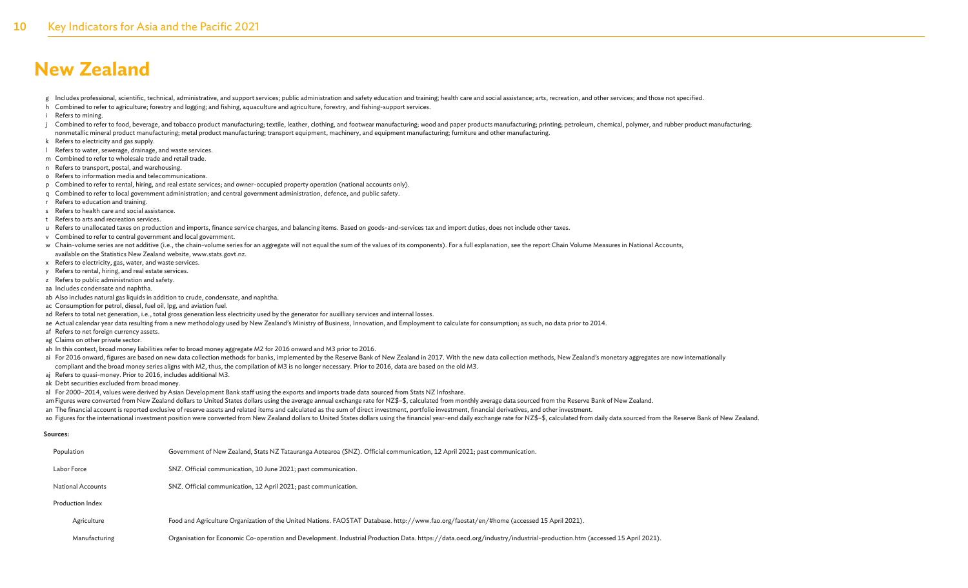g Includes professional, scientific, technical, administrative, and support services; public administration and safety education and training; health care and social assistance; arts, recreation, and other services; and th

- h Combined to refer to agriculture; forestry and logging; and fishing, aquaculture and agriculture, forestry, and fishing-support services.
- i Refers to mining.
- i Combined to refer to food, beverage, and tobacco product manufacturing; textile, leather, clothing, and footwear manufacturing; wood and paper products manufacturing; perinting; petroleum, chemical, polymer, and rubber p nonmetallic mineral product manufacturing; metal product manufacturing; transport equipment, machinery, and equipment manufacturing; furniture and other manufacturing.
- k Refers to electricity and gas supply.
- l Refers to water, sewerage, drainage, and waste services.
- m Combined to refer to wholesale trade and retail trade.
- n Refers to transport, postal, and warehousing.
- o Refers to information media and telecommunications.
- p Combined to refer to rental, hiring, and real estate services; and owner-occupied property operation (national accounts only).
- q Combined to refer to local government administration; and central government administration, defence, and public safety.
- r Refers to education and training.
- s Refers to health care and social assistance.
- t Refers to arts and recreation services.
- u Refers to unallocated taxes on production and imports, finance service charges, and balancing items. Based on goods-and-services tax and import duties, does not include other taxes.
- v Combined to refer to central government and local government.
- w Chain-volume series are not additive (i.e., the chain-volume series for an aggregate will not equal the sum of the values of its components). For a full explanation, see the report Chain Volume Measures in National Accou
- available on the Statistics New Zealand website, www.stats.govt.nz.
- x Refers to electricity, gas, water, and waste services.
- y Refers to rental, hiring, and real estate services.
- z Refers to public administration and safety.
- aa Includes condensate and naphtha.
- ab Also includes natural gas liquids in addition to crude, condensate, and naphtha.
- ac Consumption for petrol, diesel, fuel oil, lpg, and aviation fuel.
- ad Refers to total net generation, i.e., total gross generation less electricity used by the generator for auxilliary services and internal losses.
- ae Actual calendar year data resulting from a new methodology used by New Zealand's Ministry of Business, Innovation, and Employment to calculate for consumption; as such, no data prior to 2014.
- af Refers to net foreign currency assets.
- ag Claims on other private sector.
- ah In this context, broad money liabilities refer to broad money aggregate M2 for 2016 onward and M3 prior to 2016.
- ai For 2016 onward, figures are based on new data collection methods for banks, implemented by the Reserve Bank of New Zealand in 2017. With the new data collection methods, New Zealand's monetary aggregates are now intern compliant and the broad money series aligns with M2, thus, the compilation of M3 is no longer necessary. Prior to 2016, data are based on the old M3.
- aj Refers to quasi-money. Prior to 2016, includes additional M3.
- ak Debt securities excluded from broad money.
- al For 2000–2014, values were derived by Asian Development Bank staff using the exports and imports trade data sourced from Stats NZ Infoshare.
- am Figures were converted from New Zealand dollars to United States dollars using the average annual exchange rate for NZ\$-\$, calculated from monthly average data sourced from the Reserve Bank of New Zealand.
- an The financial account is reported exclusive of reserve assets and related items and calculated as the sum of direct investment, portfolio investment, financial derivatives, and other investment.
- ao Figures for the international investment position were converted from New Zealand dollars to United States dollars using the financial year-end daily exchange rate for NZ\$-\$, calculated from daily data sourced from the

#### **Sources:**

| Population               | Government of New Zealand, Stats NZ Tatauranga Aotearoa (SNZ). Official communication, 12 April 2021; past communication.                                              |
|--------------------------|------------------------------------------------------------------------------------------------------------------------------------------------------------------------|
| Labor Force              | SNZ. Official communication, 10 June 2021; past communication.                                                                                                         |
| <b>National Accounts</b> | SNZ. Official communication, 12 April 2021; past communication.                                                                                                        |
| Production Index         |                                                                                                                                                                        |
| Agriculture              | Food and Agriculture Organization of the United Nations. FAOSTAT Database. http://www.fao.org/faostat/en/#home (accessed 15 April 2021).                               |
| Manufacturing            | Organisation for Economic Co-operation and Development. Industrial Production Data. https://data.oecd.org/industry/industrial-production.htm (accessed 15 April 2021). |